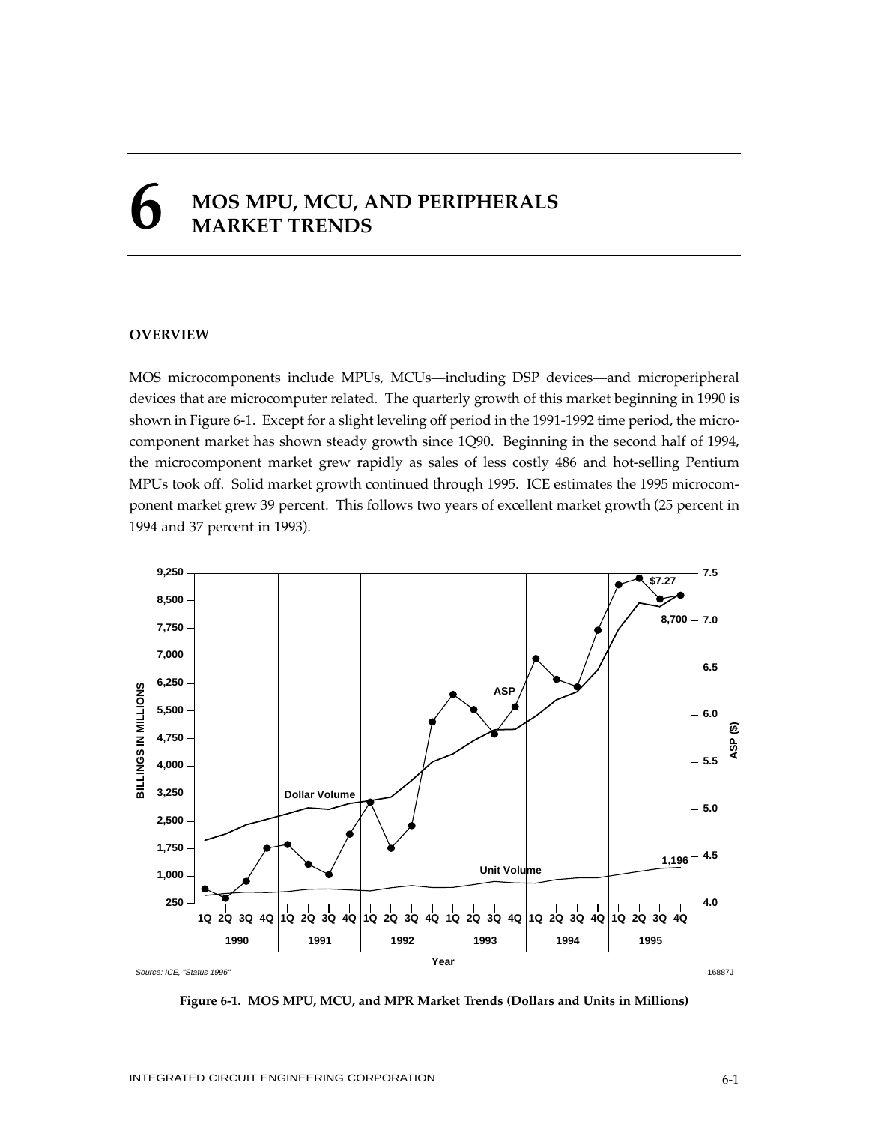# **6 MOS MPU, MCU, AND PERIPHERALS MARKET TRENDS**

## **OVERVIEW**

MOS microcomponents include MPUs, MCUs—including DSP devices—and microperipheral devices that are microcomputer related. The quarterly growth of this market beginning in 1990 is shown in Figure 6-1. Except for a slight leveling off period in the 1991-1992 time period, the microcomponent market has shown steady growth since 1Q90. Beginning in the second half of 1994, the microcomponent market grew rapidly as sales of less costly 486 and hot-selling Pentium MPUs took off. Solid market growth continued through 1995. ICE estimates the 1995 microcomponent market grew 39 percent. This follows two years of excellent market growth (25 percent in 1994 and 37 percent in 1993).



**Figure 6-1. MOS MPU, MCU, and MPR Market Trends (Dollars and Units in Millions)**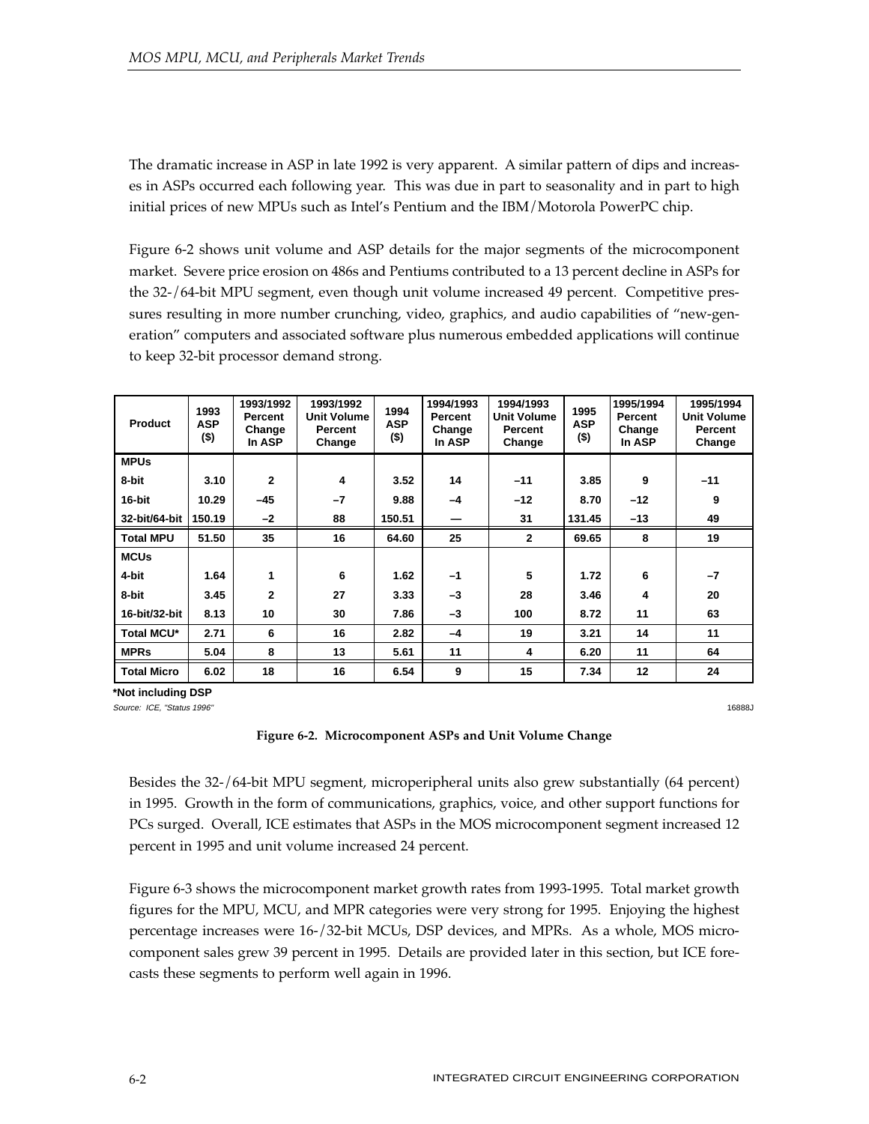The dramatic increase in ASP in late 1992 is very apparent. A similar pattern of dips and increases in ASPs occurred each following year. This was due in part to seasonality and in part to high initial prices of new MPUs such as Intel's Pentium and the IBM/Motorola PowerPC chip.

Figure 6-2 shows unit volume and ASP details for the major segments of the microcomponent market. Severe price erosion on 486s and Pentiums contributed to a 13 percent decline in ASPs for the 32-/64-bit MPU segment, even though unit volume increased 49 percent. Competitive pressures resulting in more number crunching, video, graphics, and audio capabilities of "new-generation" computers and associated software plus numerous embedded applications will continue to keep 32-bit processor demand strong.

| <b>Product</b>     | 1993<br><b>ASP</b><br>$($ \$) | 1993/1992<br>Percent<br>Change<br>In ASP | 1993/1992<br><b>Unit Volume</b><br>Percent<br>Change | 1994<br><b>ASP</b><br>$($ \$) | 1994/1993<br>Percent<br>Change<br>In ASP | 1994/1993<br><b>Unit Volume</b><br>Percent<br>Change | 1995<br><b>ASP</b><br>$($ \$) | 1995/1994<br>Percent<br>Change<br>In ASP | 1995/1994<br><b>Unit Volume</b><br>Percent<br>Change |
|--------------------|-------------------------------|------------------------------------------|------------------------------------------------------|-------------------------------|------------------------------------------|------------------------------------------------------|-------------------------------|------------------------------------------|------------------------------------------------------|
| <b>MPUs</b>        |                               |                                          |                                                      |                               |                                          |                                                      |                               |                                          |                                                      |
| 8-bit              | 3.10                          | $\mathbf{2}$                             | 4                                                    | 3.52                          | 14                                       | $-11$                                                | 3.85                          | 9                                        | $-11$                                                |
| 16-bit             | 10.29                         | $-45$                                    | $-7$                                                 | 9.88                          | $-4$                                     | $-12$                                                | 8.70                          | $-12$                                    | 9                                                    |
| 32-bit/64-bit      | 150.19                        | $-2$                                     | 88                                                   | 150.51                        |                                          | 31                                                   | 131.45                        | $-13$                                    | 49                                                   |
| <b>Total MPU</b>   | 51.50                         | 35                                       | 16                                                   | 64.60                         | 25                                       | $\overline{2}$                                       | 69.65                         | 8                                        | 19                                                   |
| <b>MCUs</b>        |                               |                                          |                                                      |                               |                                          |                                                      |                               |                                          |                                                      |
| 4-bit              | 1.64                          | 1                                        | 6                                                    | 1.62                          | $-1$                                     | 5                                                    | 1.72                          | 6                                        | $-7$                                                 |
| 8-bit              | 3.45                          | 2                                        | 27                                                   | 3.33                          | $-3$                                     | 28                                                   | 3.46                          | 4                                        | 20                                                   |
| 16-bit/32-bit      | 8.13                          | 10                                       | 30                                                   | 7.86                          | $-3$                                     | 100                                                  | 8.72                          | 11                                       | 63                                                   |
| <b>Total MCU*</b>  | 2.71                          | 6                                        | 16                                                   | 2.82                          | $-4$                                     | 19                                                   | 3.21                          | 14                                       | 11                                                   |
| <b>MPRs</b>        | 5.04                          | 8                                        | 13                                                   | 5.61                          | 11                                       | 4                                                    | 6.20                          | 11                                       | 64                                                   |
| <b>Total Micro</b> | 6.02                          | 18                                       | 16                                                   | 6.54                          | 9                                        | 15                                                   | 7.34                          | 12                                       | 24                                                   |

**\*Not including DSP**

Source: ICE, "Status 1996" 16888J

## **Figure 6-2. Microcomponent ASPs and Unit Volume Change**

Besides the 32-/64-bit MPU segment, microperipheral units also grew substantially (64 percent) in 1995. Growth in the form of communications, graphics, voice, and other support functions for PCs surged. Overall, ICE estimates that ASPs in the MOS microcomponent segment increased 12 percent in 1995 and unit volume increased 24 percent.

Figure 6-3 shows the microcomponent market growth rates from 1993-1995. Total market growth figures for the MPU, MCU, and MPR categories were very strong for 1995. Enjoying the highest percentage increases were 16-/32-bit MCUs, DSP devices, and MPRs. As a whole, MOS microcomponent sales grew 39 percent in 1995. Details are provided later in this section, but ICE forecasts these segments to perform well again in 1996.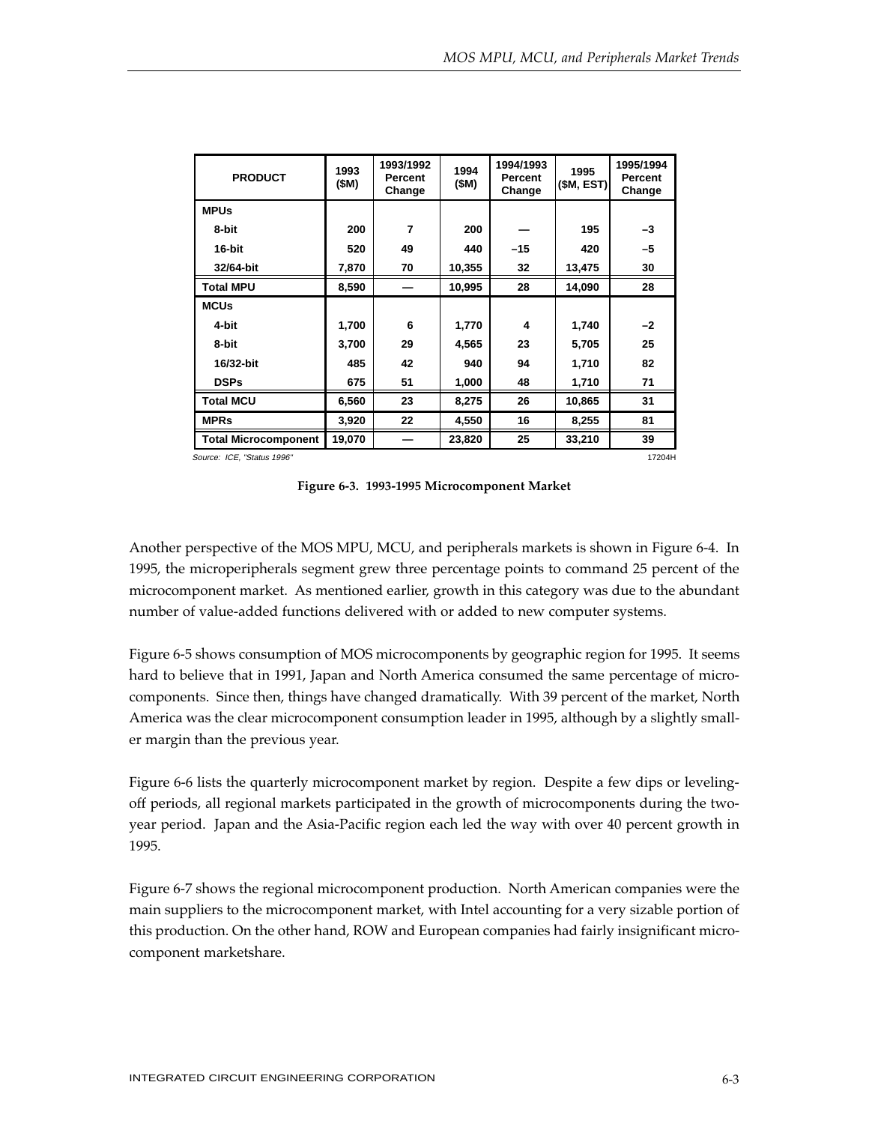| <b>PRODUCT</b>              | 1993<br>(\$M) | 1993/1992<br>Percent<br>Change | 1994<br>(SM) | 1994/1993<br>Percent<br>Change | 1995<br>(\$M, EST) | 1995/1994<br>Percent<br>Change |
|-----------------------------|---------------|--------------------------------|--------------|--------------------------------|--------------------|--------------------------------|
| <b>MPUs</b>                 |               |                                |              |                                |                    |                                |
| 8-bit                       | 200           | 7                              | 200          |                                | 195                | $-3$                           |
| 16-bit                      | 520           | 49                             | 440          | $-15$                          | 420                | $-5$                           |
| 32/64-bit                   | 7,870         | 70                             | 10,355       | 32                             | 13,475             | 30                             |
| <b>Total MPU</b>            | 8,590         |                                | 10,995       | 28                             | 14,090             | 28                             |
| <b>MCUs</b>                 |               |                                |              |                                |                    |                                |
| 4-bit                       | 1,700         | 6                              | 1,770        | 4                              | 1,740              | $-2$                           |
| 8-bit                       | 3,700         | 29                             | 4,565        | 23                             | 5,705              | 25                             |
| 16/32-bit                   | 485           | 42                             | 940          | 94                             | 1,710              | 82                             |
| <b>DSPs</b>                 | 675           | 51                             | 1,000        | 48                             | 1,710              | 71                             |
| <b>Total MCU</b>            | 6,560         | 23                             | 8,275        | 26                             | 10,865             | 31                             |
| <b>MPRs</b>                 | 3,920         | 22                             | 4,550        | 16                             | 8,255              | 81                             |
| <b>Total Microcomponent</b> | 19,070        |                                | 23,820       | 25                             | 33,210             | 39                             |

**Figure 6-3. 1993-1995 Microcomponent Market**

Another perspective of the MOS MPU, MCU, and peripherals markets is shown in Figure 6-4. In 1995, the microperipherals segment grew three percentage points to command 25 percent of the microcomponent market. As mentioned earlier, growth in this category was due to the abundant number of value-added functions delivered with or added to new computer systems.

Figure 6-5 shows consumption of MOS microcomponents by geographic region for 1995. It seems hard to believe that in 1991, Japan and North America consumed the same percentage of microcomponents. Since then, things have changed dramatically. With 39 percent of the market, North America was the clear microcomponent consumption leader in 1995, although by a slightly smaller margin than the previous year.

Figure 6-6 lists the quarterly microcomponent market by region. Despite a few dips or levelingoff periods, all regional markets participated in the growth of microcomponents during the twoyear period. Japan and the Asia-Pacific region each led the way with over 40 percent growth in 1995.

Figure 6-7 shows the regional microcomponent production. North American companies were the main suppliers to the microcomponent market, with Intel accounting for a very sizable portion of this production. On the other hand, ROW and European companies had fairly insignificant microcomponent marketshare.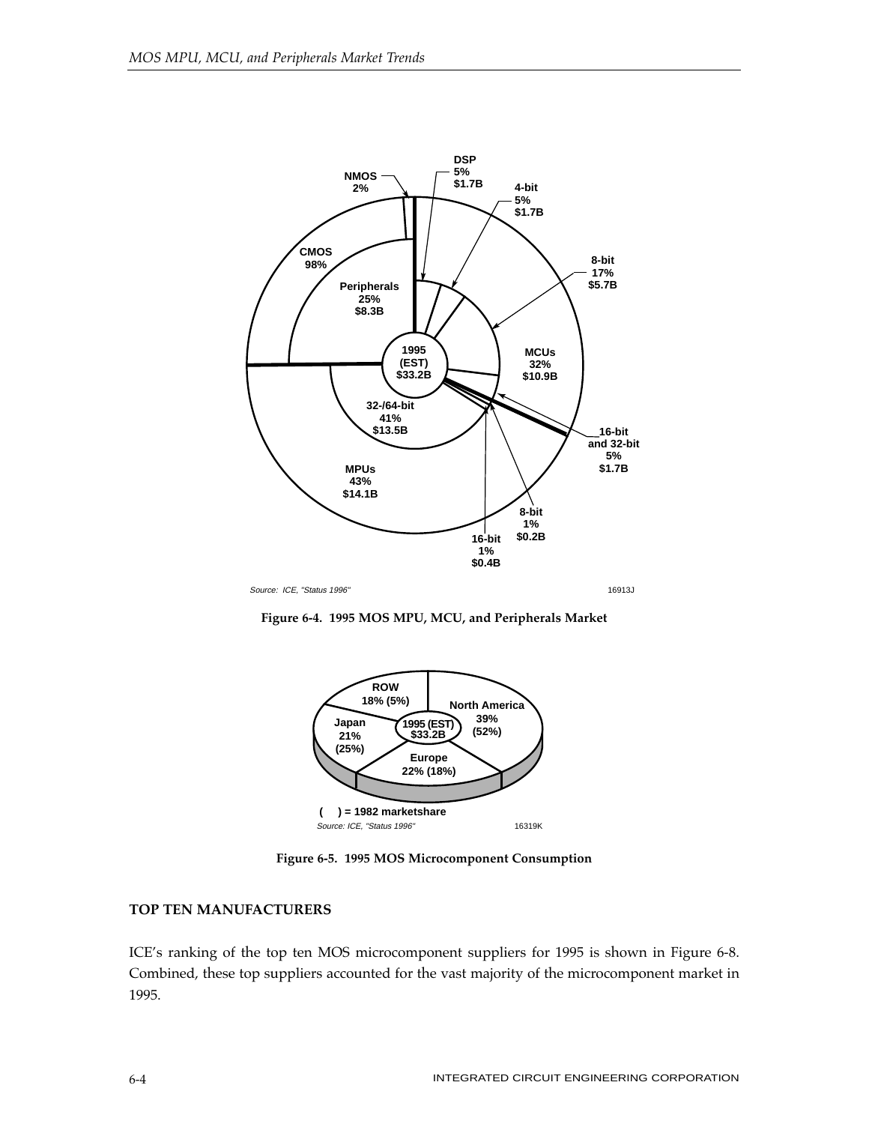

**Figure 6-4. 1995 MOS MPU, MCU, and Peripherals Market**



**Figure 6-5. 1995 MOS Microcomponent Consumption**

## **TOP TEN MANUFACTURERS**

ICE's ranking of the top ten MOS microcomponent suppliers for 1995 is shown in Figure 6-8. Combined, these top suppliers accounted for the vast majority of the microcomponent market in 1995.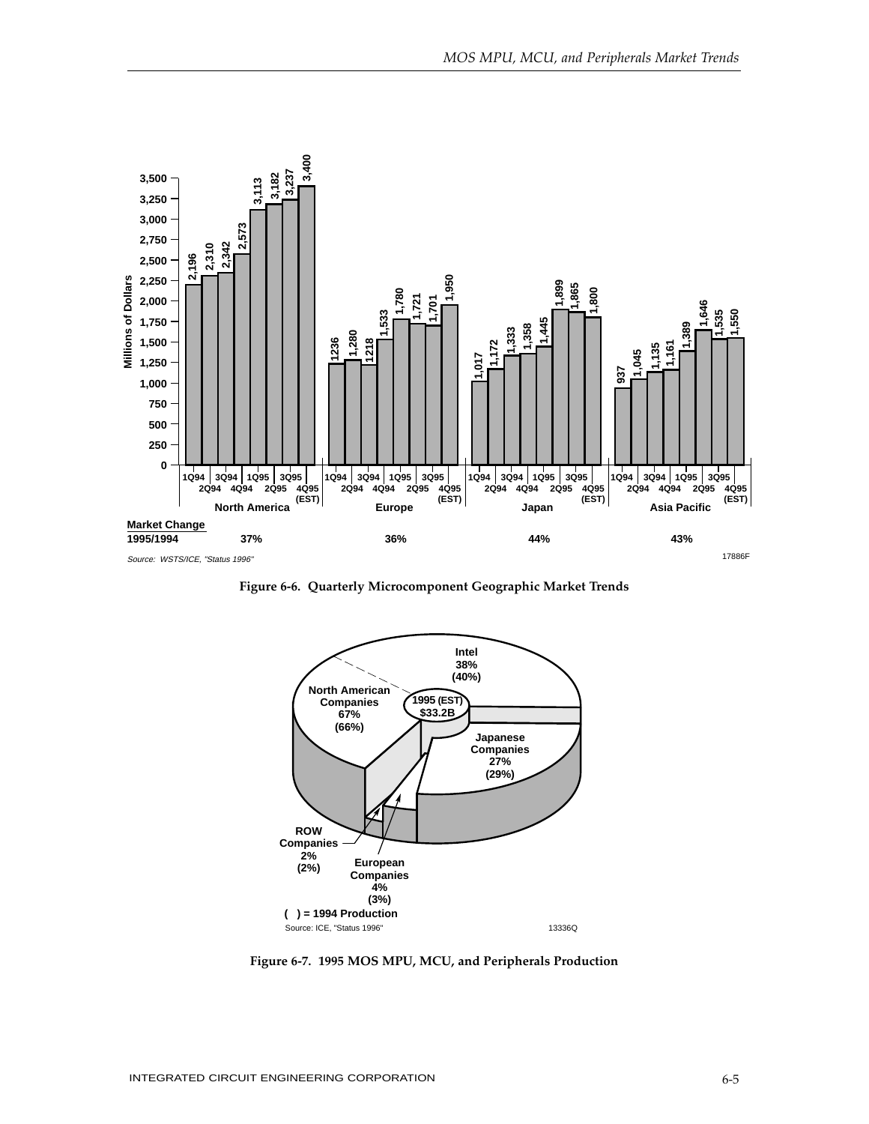

**Figure 6-6. Quarterly Microcomponent Geographic Market Trends**



**Figure 6-7. 1995 MOS MPU, MCU, and Peripherals Production**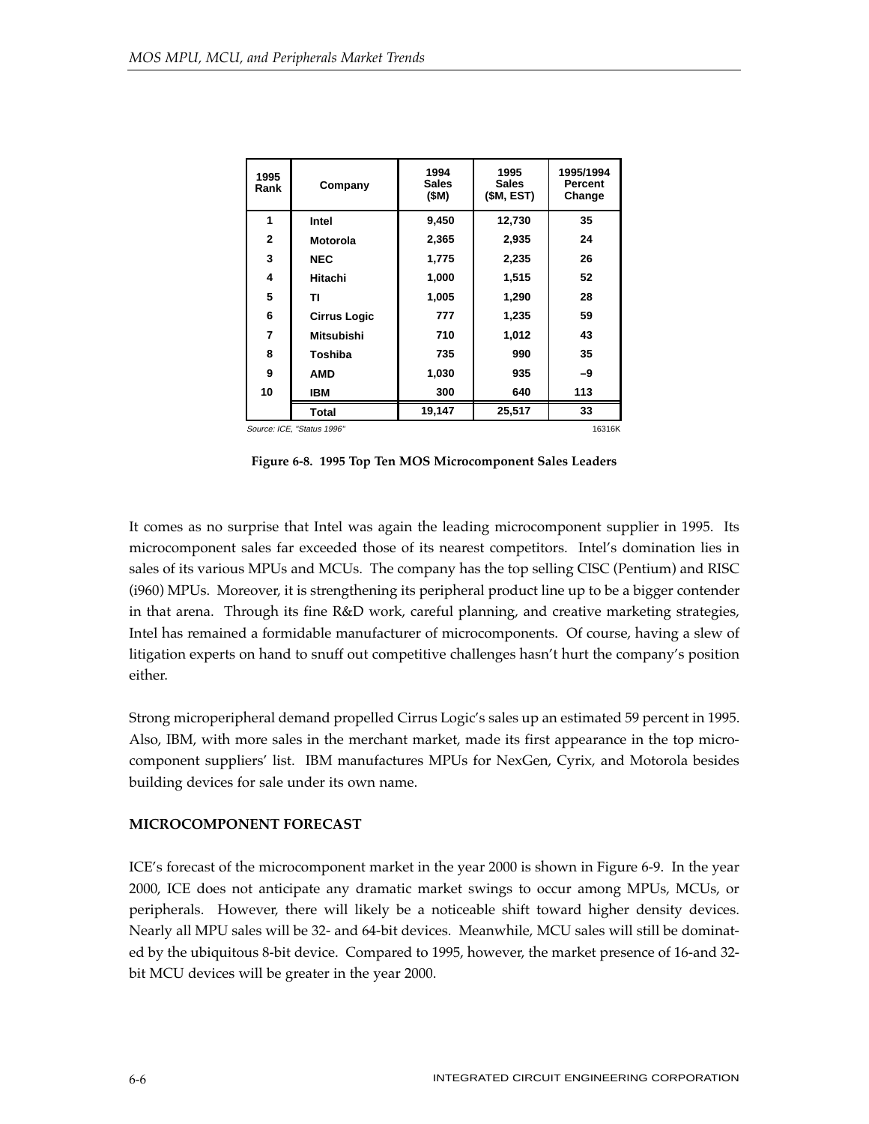| 1995<br>Rank   | Company                              | 1994<br><b>Sales</b><br>(\$M) | 1995<br><b>Sales</b><br>(\$M, EST) | 1995/1994<br><b>Percent</b><br>Change |  |  |
|----------------|--------------------------------------|-------------------------------|------------------------------------|---------------------------------------|--|--|
| 1              | Intel                                | 9,450                         | 12,730                             | 35                                    |  |  |
| $\overline{2}$ | <b>Motorola</b>                      | 2,365                         | 2,935                              | 24                                    |  |  |
| 3              | <b>NEC</b>                           | 1,775                         | 2,235                              | 26                                    |  |  |
| 4              | Hitachi                              | 1,000                         | 1,515                              | 52                                    |  |  |
| 5              | ΤI                                   | 1,005                         | 1,290                              | 28                                    |  |  |
| 6              | <b>Cirrus Logic</b>                  | 777                           | 1,235                              | 59                                    |  |  |
| $\overline{7}$ | <b>Mitsubishi</b>                    | 710                           | 1,012                              | 43                                    |  |  |
| 8              | Toshiba                              | 735                           | 990                                | 35                                    |  |  |
| 9              | <b>AMD</b>                           | 1,030                         | 935                                | -9                                    |  |  |
| 10             | IBM                                  | 300                           | 640                                | 113                                   |  |  |
|                | Total                                | 19,147                        | 25,517                             | 33                                    |  |  |
|                | Source: ICE, "Status 1996"<br>16316K |                               |                                    |                                       |  |  |

Source: ICE, "Status 1996"

**Figure 6-8. 1995 Top Ten MOS Microcomponent Sales Leaders**

It comes as no surprise that Intel was again the leading microcomponent supplier in 1995. Its microcomponent sales far exceeded those of its nearest competitors. Intel's domination lies in sales of its various MPUs and MCUs. The company has the top selling CISC (Pentium) and RISC (i960) MPUs. Moreover, it is strengthening its peripheral product line up to be a bigger contender in that arena. Through its fine R&D work, careful planning, and creative marketing strategies, Intel has remained a formidable manufacturer of microcomponents. Of course, having a slew of litigation experts on hand to snuff out competitive challenges hasn't hurt the company's position either.

Strong microperipheral demand propelled Cirrus Logic's sales up an estimated 59 percent in 1995. Also, IBM, with more sales in the merchant market, made its first appearance in the top microcomponent suppliers' list. IBM manufactures MPUs for NexGen, Cyrix, and Motorola besides building devices for sale under its own name.

## **MICROCOMPONENT FORECAST**

ICE's forecast of the microcomponent market in the year 2000 is shown in Figure 6-9. In the year 2000, ICE does not anticipate any dramatic market swings to occur among MPUs, MCUs, or peripherals. However, there will likely be a noticeable shift toward higher density devices. Nearly all MPU sales will be 32- and 64-bit devices. Meanwhile, MCU sales will still be dominated by the ubiquitous 8-bit device. Compared to 1995, however, the market presence of 16-and 32 bit MCU devices will be greater in the year 2000.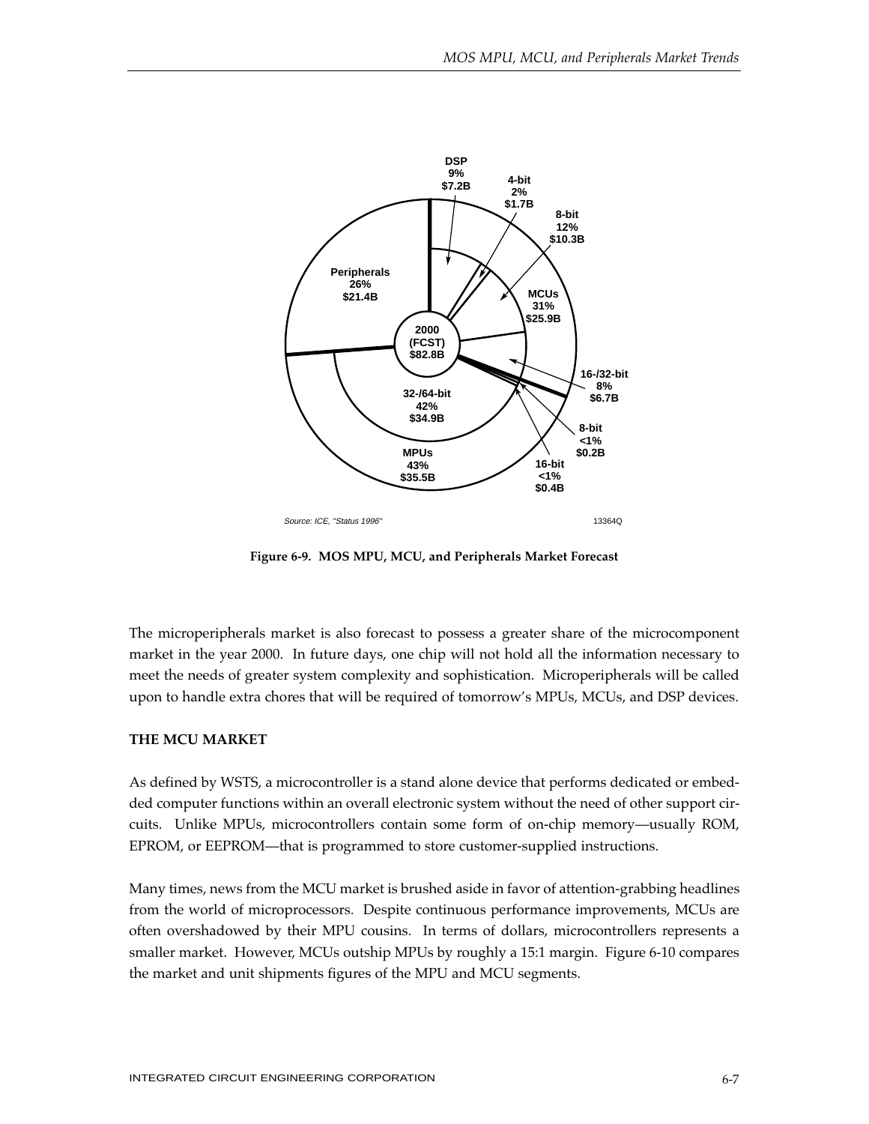

**Figure 6-9. MOS MPU, MCU, and Peripherals Market Forecast**

The microperipherals market is also forecast to possess a greater share of the microcomponent market in the year 2000. In future days, one chip will not hold all the information necessary to meet the needs of greater system complexity and sophistication. Microperipherals will be called upon to handle extra chores that will be required of tomorrow's MPUs, MCUs, and DSP devices.

## **THE MCU MARKET**

As defined by WSTS, a microcontroller is a stand alone device that performs dedicated or embedded computer functions within an overall electronic system without the need of other support circuits. Unlike MPUs, microcontrollers contain some form of on-chip memory—usually ROM, EPROM, or EEPROM—that is programmed to store customer-supplied instructions.

Many times, news from the MCU market is brushed aside in favor of attention-grabbing headlines from the world of microprocessors. Despite continuous performance improvements, MCUs are often overshadowed by their MPU cousins. In terms of dollars, microcontrollers represents a smaller market. However, MCUs outship MPUs by roughly a 15:1 margin. Figure 6-10 compares the market and unit shipments figures of the MPU and MCU segments.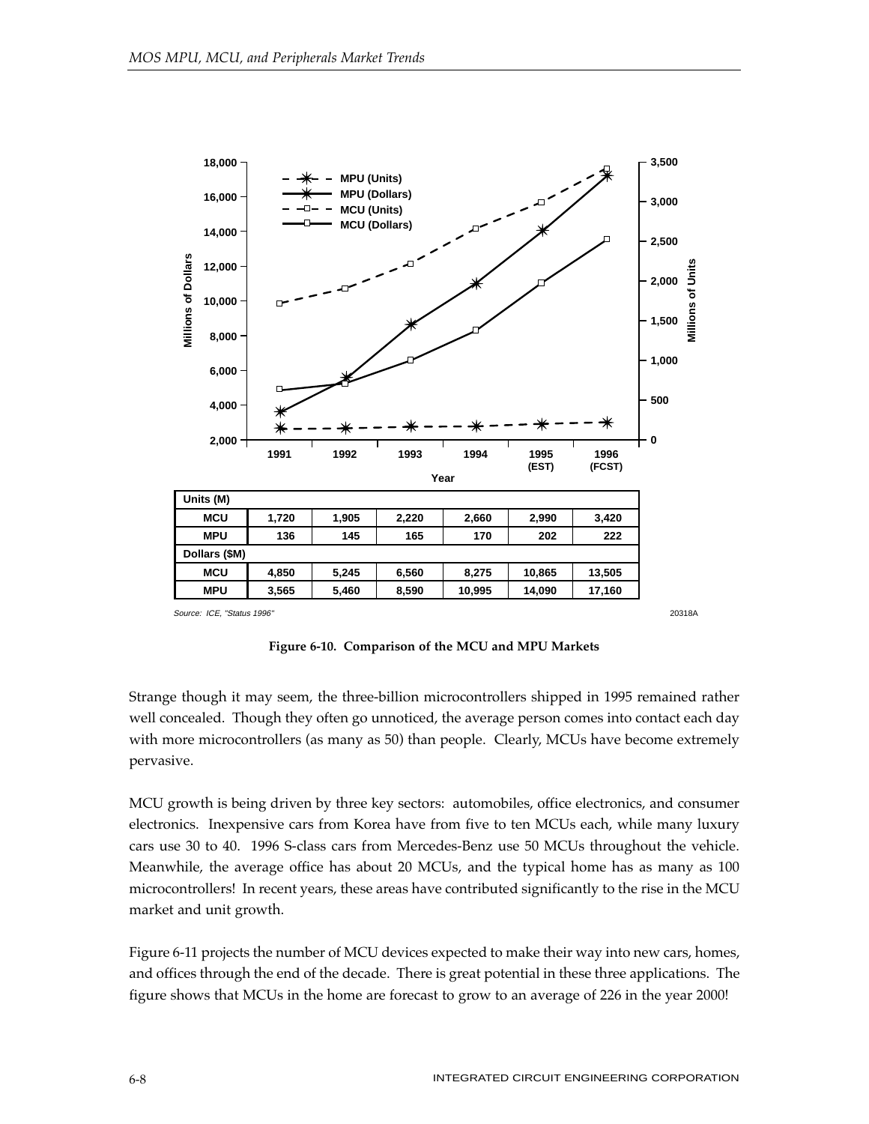

**Figure 6-10. Comparison of the MCU and MPU Markets**

Strange though it may seem, the three-billion microcontrollers shipped in 1995 remained rather well concealed. Though they often go unnoticed, the average person comes into contact each day with more microcontrollers (as many as 50) than people. Clearly, MCUs have become extremely pervasive.

MCU growth is being driven by three key sectors: automobiles, office electronics, and consumer electronics. Inexpensive cars from Korea have from five to ten MCUs each, while many luxury cars use 30 to 40. 1996 S-class cars from Mercedes-Benz use 50 MCUs throughout the vehicle. Meanwhile, the average office has about 20 MCUs, and the typical home has as many as 100 microcontrollers! In recent years, these areas have contributed significantly to the rise in the MCU market and unit growth.

Figure 6-11 projects the number of MCU devices expected to make their way into new cars, homes, and offices through the end of the decade. There is great potential in these three applications. The figure shows that MCUs in the home are forecast to grow to an average of 226 in the year 2000!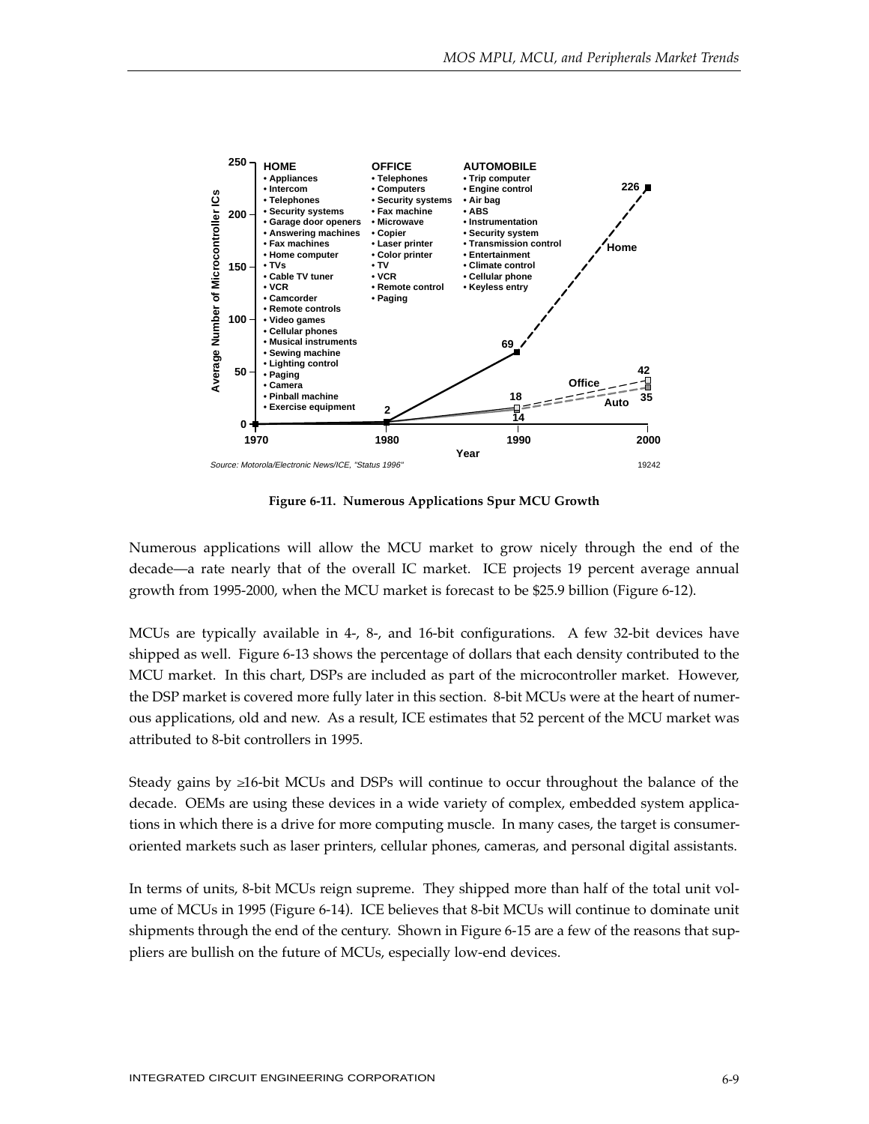

**Figure 6-11. Numerous Applications Spur MCU Growth**

Numerous applications will allow the MCU market to grow nicely through the end of the decade—a rate nearly that of the overall IC market. ICE projects 19 percent average annual growth from 1995-2000, when the MCU market is forecast to be \$25.9 billion (Figure 6-12).

MCUs are typically available in 4-, 8-, and 16-bit configurations. A few 32-bit devices have shipped as well. Figure 6-13 shows the percentage of dollars that each density contributed to the MCU market. In this chart, DSPs are included as part of the microcontroller market. However, the DSP market is covered more fully later in this section. 8-bit MCUs were at the heart of numerous applications, old and new. As a result, ICE estimates that 52 percent of the MCU market was attributed to 8-bit controllers in 1995.

Steady gains by ≥16-bit MCUs and DSPs will continue to occur throughout the balance of the decade. OEMs are using these devices in a wide variety of complex, embedded system applications in which there is a drive for more computing muscle. In many cases, the target is consumeroriented markets such as laser printers, cellular phones, cameras, and personal digital assistants.

In terms of units, 8-bit MCUs reign supreme. They shipped more than half of the total unit volume of MCUs in 1995 (Figure 6-14). ICE believes that 8-bit MCUs will continue to dominate unit shipments through the end of the century. Shown in Figure 6-15 are a few of the reasons that suppliers are bullish on the future of MCUs, especially low-end devices.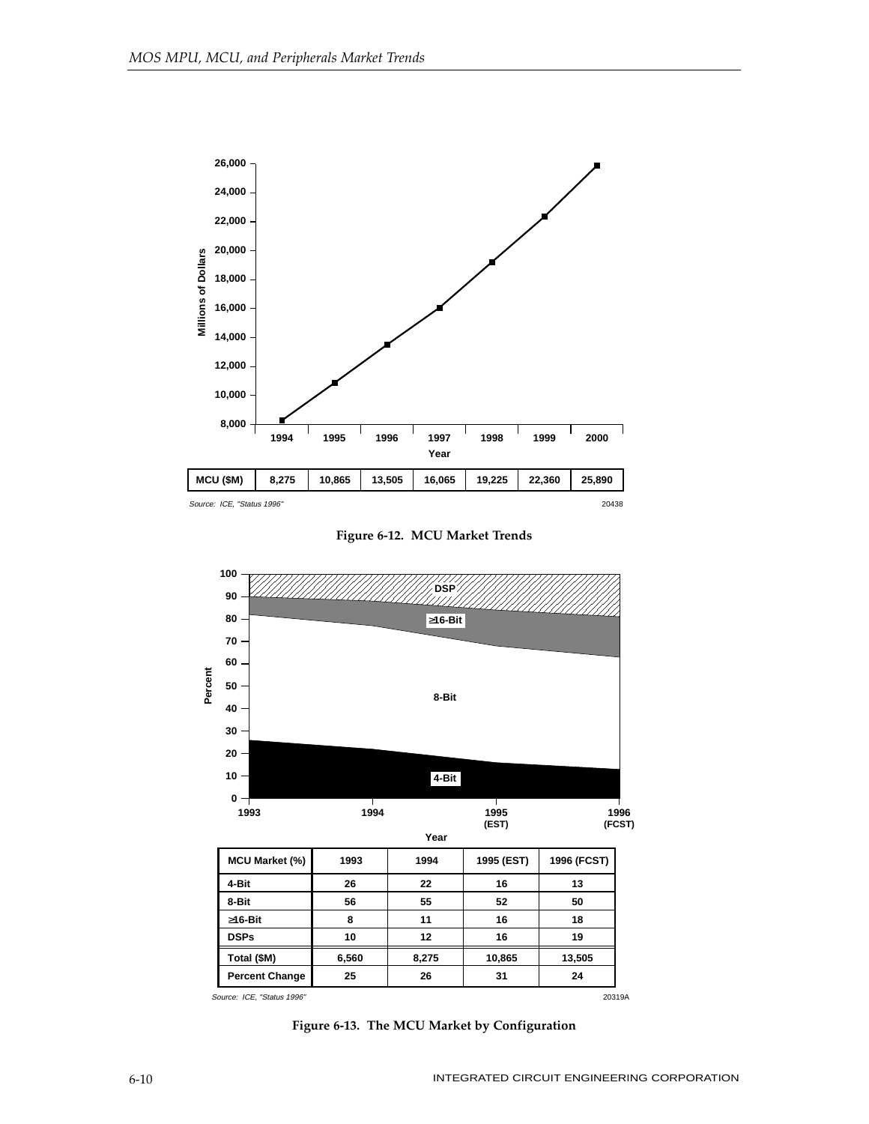

**Figure 6-12. MCU Market Trends**



**Figure 6-13. The MCU Market by Configuration**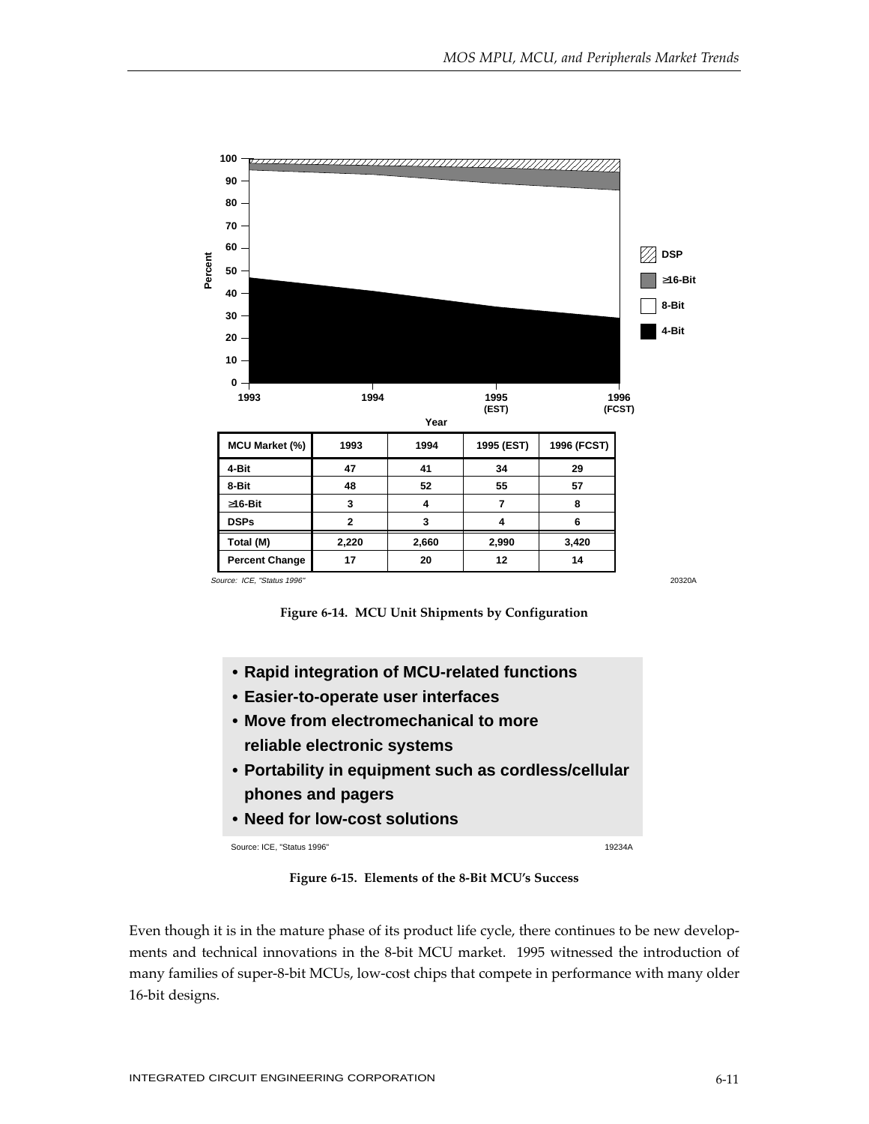

**Figure 6-14. MCU Unit Shipments by Configuration**

- **• Rapid integration of MCU-related functions**
- **• Easier-to-operate user interfaces**
- **• Move from electromechanical to more reliable electronic systems**
- **• Portability in equipment such as cordless/cellular phones and pagers**
- **• Need for low-cost solutions**

Source: ICE, "Status 1996" 19234A

**Figure 6-15. Elements of the 8-Bit MCU's Success**

Even though it is in the mature phase of its product life cycle, there continues to be new developments and technical innovations in the 8-bit MCU market. 1995 witnessed the introduction of many families of super-8-bit MCUs, low-cost chips that compete in performance with many older 16-bit designs.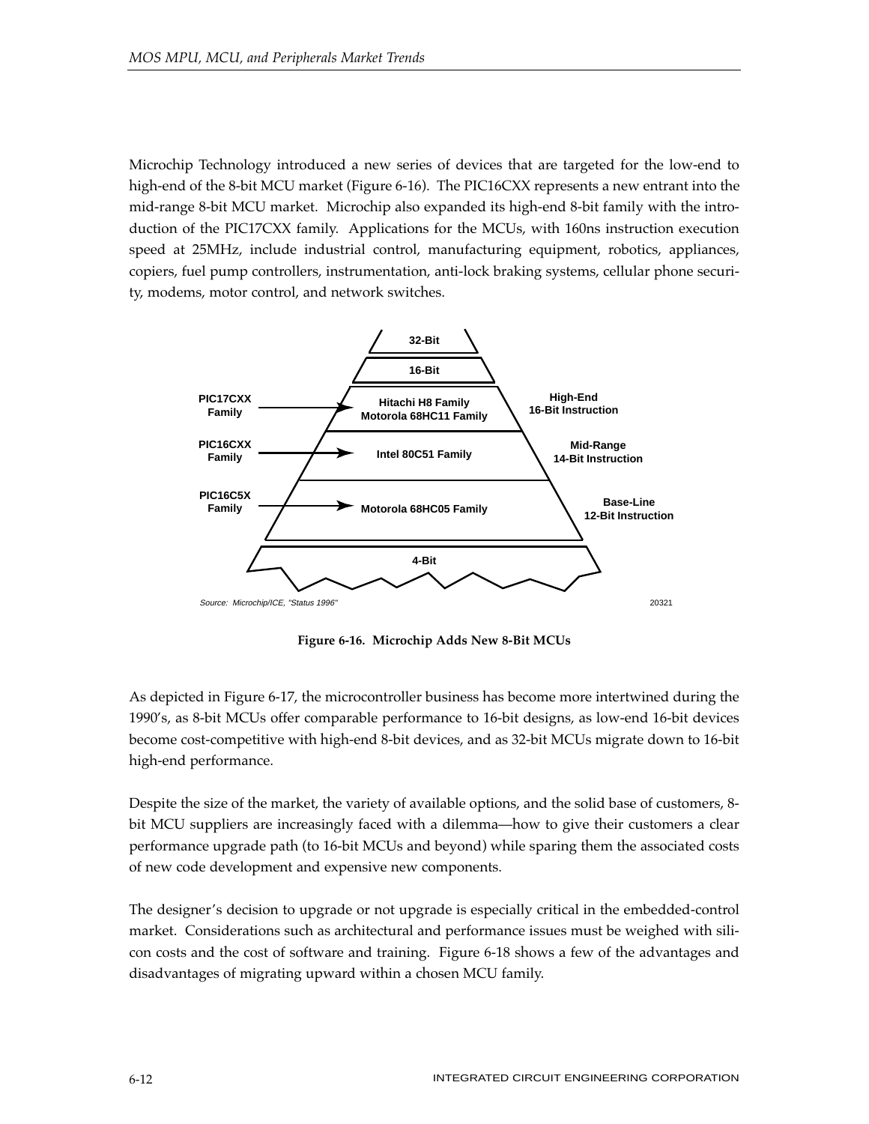Microchip Technology introduced a new series of devices that are targeted for the low-end to high-end of the 8-bit MCU market (Figure 6-16). The PIC16CXX represents a new entrant into the mid-range 8-bit MCU market. Microchip also expanded its high-end 8-bit family with the introduction of the PIC17CXX family. Applications for the MCUs, with 160ns instruction execution speed at 25MHz, include industrial control, manufacturing equipment, robotics, appliances, copiers, fuel pump controllers, instrumentation, anti-lock braking systems, cellular phone security, modems, motor control, and network switches.



**Figure 6-16. Microchip Adds New 8-Bit MCUs**

As depicted in Figure 6-17, the microcontroller business has become more intertwined during the 1990's, as 8-bit MCUs offer comparable performance to 16-bit designs, as low-end 16-bit devices become cost-competitive with high-end 8-bit devices, and as 32-bit MCUs migrate down to 16-bit high-end performance.

Despite the size of the market, the variety of available options, and the solid base of customers, 8 bit MCU suppliers are increasingly faced with a dilemma—how to give their customers a clear performance upgrade path (to 16-bit MCUs and beyond) while sparing them the associated costs of new code development and expensive new components.

The designer's decision to upgrade or not upgrade is especially critical in the embedded-control market. Considerations such as architectural and performance issues must be weighed with silicon costs and the cost of software and training. Figure 6-18 shows a few of the advantages and disadvantages of migrating upward within a chosen MCU family.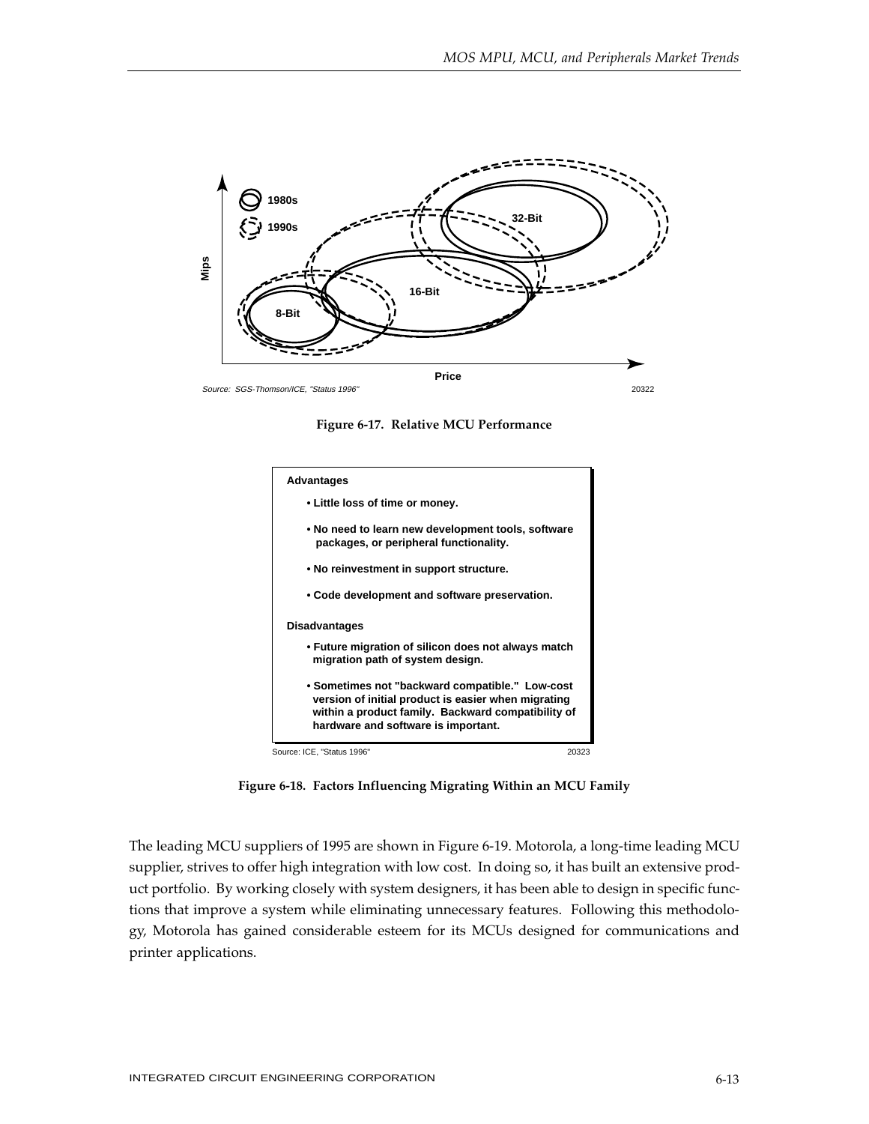





**Figure 6-18. Factors Influencing Migrating Within an MCU Family**

The leading MCU suppliers of 1995 are shown in Figure 6-19. Motorola, a long-time leading MCU supplier, strives to offer high integration with low cost. In doing so, it has built an extensive product portfolio. By working closely with system designers, it has been able to design in specific functions that improve a system while eliminating unnecessary features. Following this methodology, Motorola has gained considerable esteem for its MCUs designed for communications and printer applications.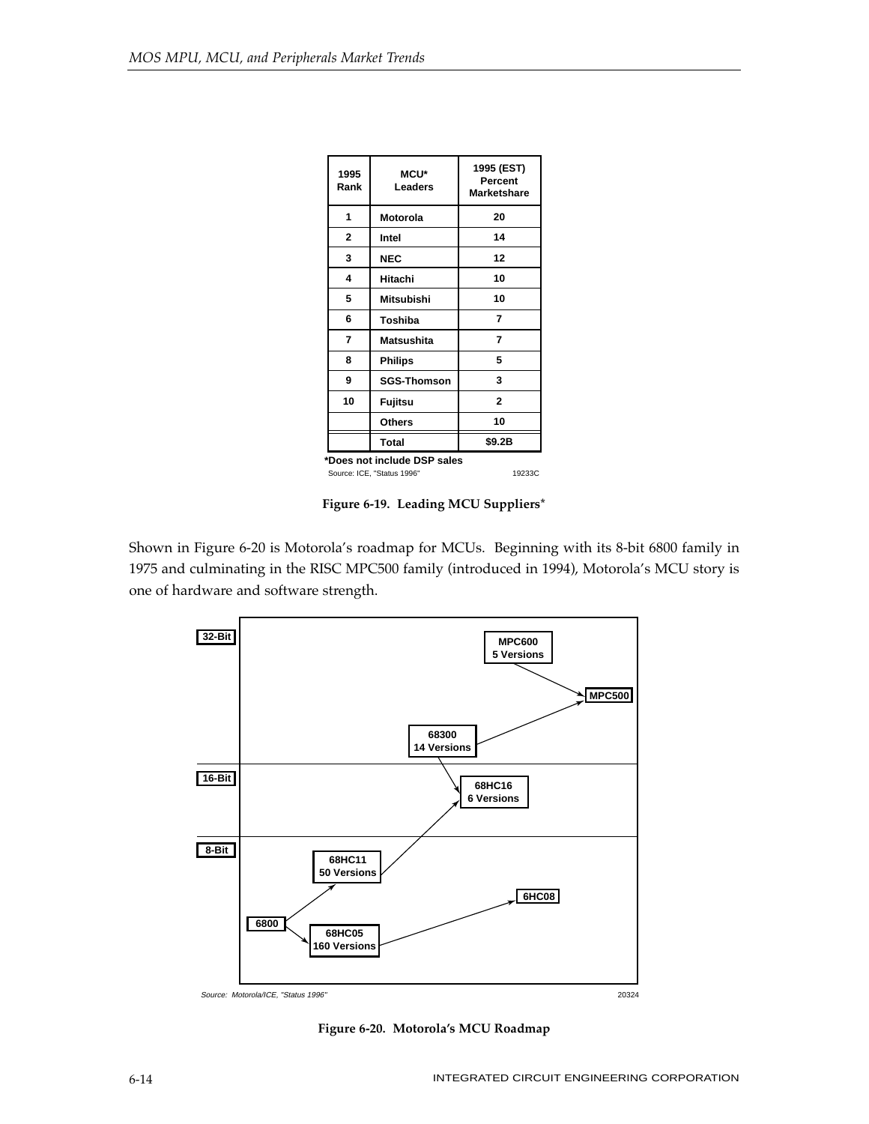| 1995<br>Rank                | <b>MCU*</b><br><b>Leaders</b>        | 1995 (EST)<br>Percent<br>Marketshare |  |  |  |  |
|-----------------------------|--------------------------------------|--------------------------------------|--|--|--|--|
| 1                           | <b>Motorola</b>                      | 20                                   |  |  |  |  |
| 2                           | Intel                                | 14                                   |  |  |  |  |
| 3                           | <b>NEC</b>                           | 12                                   |  |  |  |  |
| 4                           | Hitachi                              | 10                                   |  |  |  |  |
| 5                           | Mitsubishi                           | 10                                   |  |  |  |  |
| 6                           | Toshiba                              | 7                                    |  |  |  |  |
| 7                           | Matsushita                           | 7                                    |  |  |  |  |
| 8                           | <b>Philips</b>                       | 5                                    |  |  |  |  |
| 9                           | <b>SGS-Thomson</b>                   | 3                                    |  |  |  |  |
| 10                          | Fujitsu                              | $\overline{2}$                       |  |  |  |  |
|                             | <b>Others</b>                        | 10                                   |  |  |  |  |
|                             | Total                                | \$9.2B                               |  |  |  |  |
| *Does not include DSP sales |                                      |                                      |  |  |  |  |
|                             | Source: ICE. "Status 1996"<br>19233C |                                      |  |  |  |  |

**Figure 6-19. Leading MCU Suppliers\***

Shown in Figure 6-20 is Motorola's roadmap for MCUs. Beginning with its 8-bit 6800 family in 1975 and culminating in the RISC MPC500 family (introduced in 1994), Motorola's MCU story is one of hardware and software strength.



**Figure 6-20. Motorola's MCU Roadmap**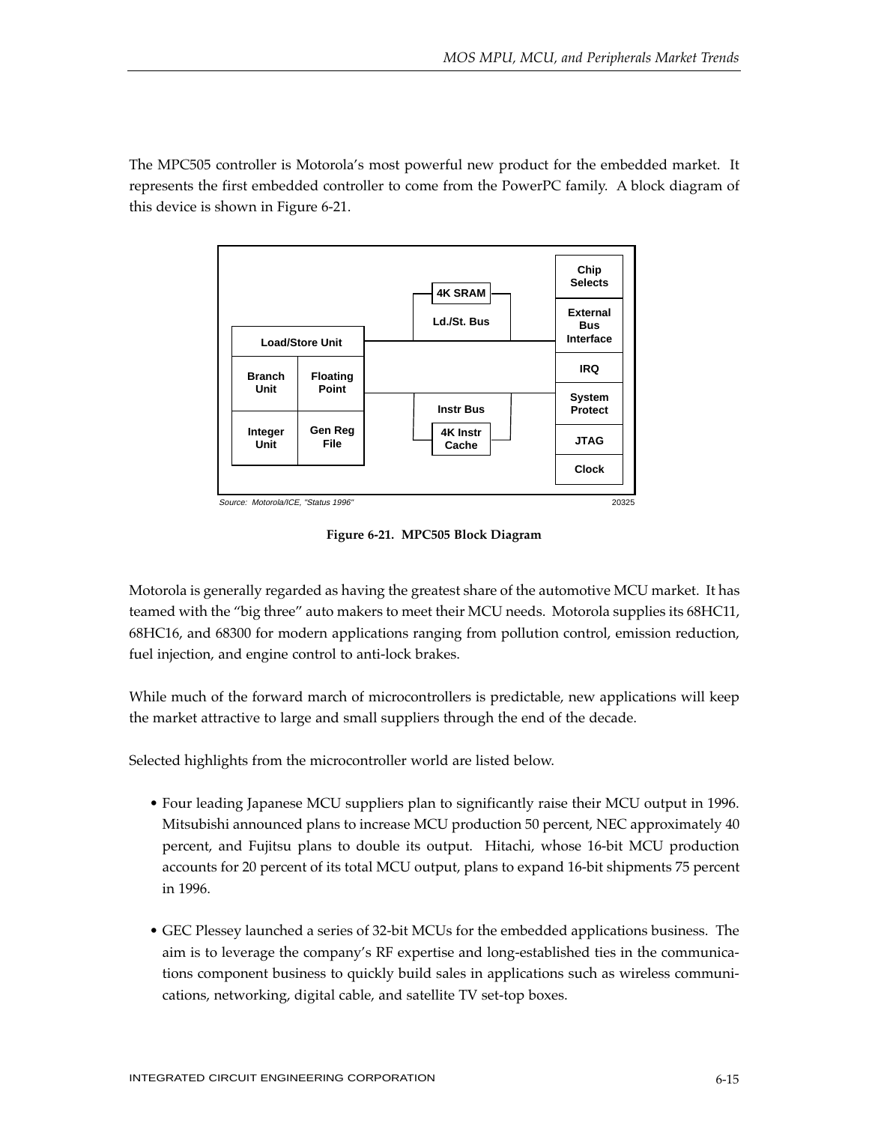The MPC505 controller is Motorola's most powerful new product for the embedded market. It represents the first embedded controller to come from the PowerPC family. A block diagram of this device is shown in Figure 6-21.



**Figure 6-21. MPC505 Block Diagram**

Motorola is generally regarded as having the greatest share of the automotive MCU market. It has teamed with the "big three" auto makers to meet their MCU needs. Motorola supplies its 68HC11, 68HC16, and 68300 for modern applications ranging from pollution control, emission reduction, fuel injection, and engine control to anti-lock brakes.

While much of the forward march of microcontrollers is predictable, new applications will keep the market attractive to large and small suppliers through the end of the decade.

Selected highlights from the microcontroller world are listed below.

- Four leading Japanese MCU suppliers plan to significantly raise their MCU output in 1996. Mitsubishi announced plans to increase MCU production 50 percent, NEC approximately 40 percent, and Fujitsu plans to double its output. Hitachi, whose 16-bit MCU production accounts for 20 percent of its total MCU output, plans to expand 16-bit shipments 75 percent in 1996.
- GEC Plessey launched a series of 32-bit MCUs for the embedded applications business. The aim is to leverage the company's RF expertise and long-established ties in the communications component business to quickly build sales in applications such as wireless communications, networking, digital cable, and satellite TV set-top boxes.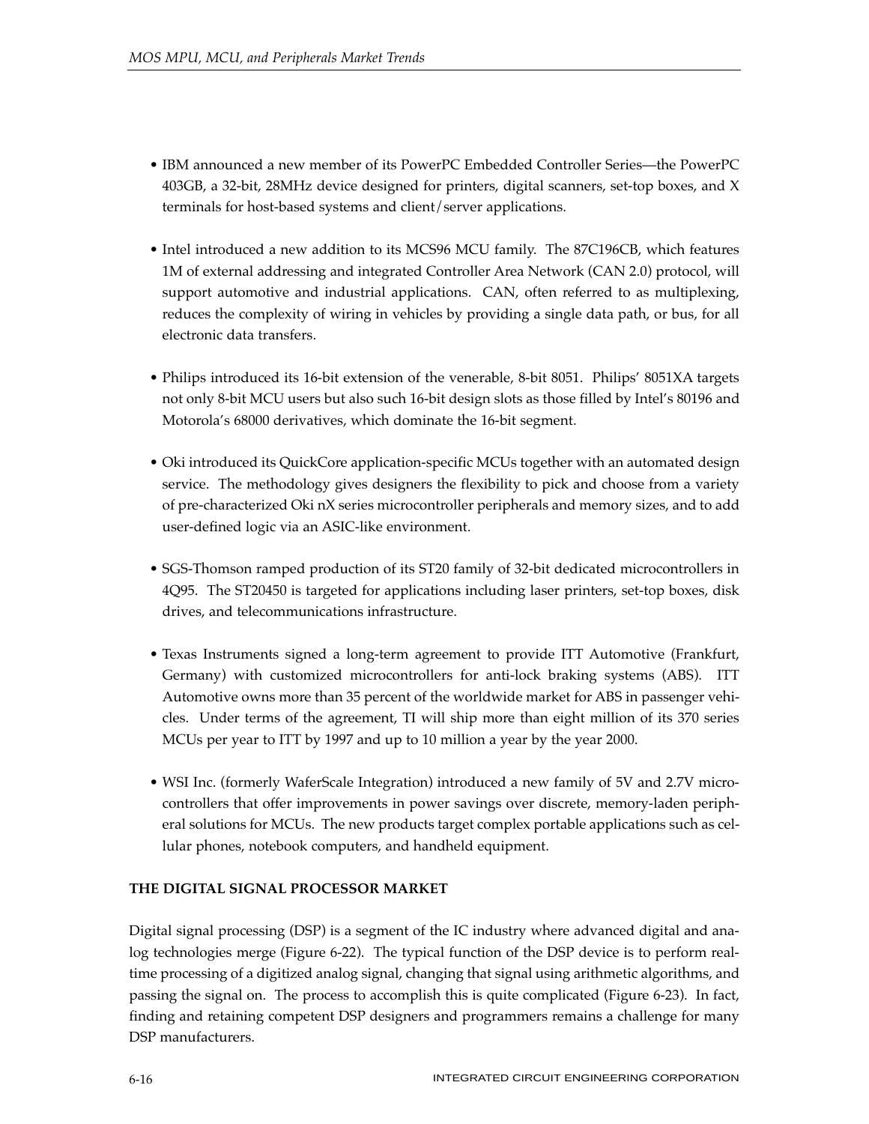- IBM announced a new member of its PowerPC Embedded Controller Series—the PowerPC 403GB, a 32-bit, 28MHz device designed for printers, digital scanners, set-top boxes, and X terminals for host-based systems and client/server applications.
- Intel introduced a new addition to its MCS96 MCU family. The 87C196CB, which features 1M of external addressing and integrated Controller Area Network (CAN 2.0) protocol, will support automotive and industrial applications. CAN, often referred to as multiplexing, reduces the complexity of wiring in vehicles by providing a single data path, or bus, for all electronic data transfers.
- Philips introduced its 16-bit extension of the venerable, 8-bit 8051. Philips' 8051XA targets not only 8-bit MCU users but also such 16-bit design slots as those filled by Intel's 80196 and Motorola's 68000 derivatives, which dominate the 16-bit segment.
- Oki introduced its QuickCore application-specific MCUs together with an automated design service. The methodology gives designers the flexibility to pick and choose from a variety of pre-characterized Oki nX series microcontroller peripherals and memory sizes, and to add user-defined logic via an ASIC-like environment.
- SGS-Thomson ramped production of its ST20 family of 32-bit dedicated microcontrollers in 4Q95. The ST20450 is targeted for applications including laser printers, set-top boxes, disk drives, and telecommunications infrastructure.
- Texas Instruments signed a long-term agreement to provide ITT Automotive (Frankfurt, Germany) with customized microcontrollers for anti-lock braking systems (ABS). ITT Automotive owns more than 35 percent of the worldwide market for ABS in passenger vehicles. Under terms of the agreement, TI will ship more than eight million of its 370 series MCUs per year to ITT by 1997 and up to 10 million a year by the year 2000.
- WSI Inc. (formerly WaferScale Integration) introduced a new family of 5V and 2.7V microcontrollers that offer improvements in power savings over discrete, memory-laden peripheral solutions for MCUs. The new products target complex portable applications such as cellular phones, notebook computers, and handheld equipment.

# **THE DIGITAL SIGNAL PROCESSOR MARKET**

Digital signal processing (DSP) is a segment of the IC industry where advanced digital and analog technologies merge (Figure 6-22). The typical function of the DSP device is to perform realtime processing of a digitized analog signal, changing that signal using arithmetic algorithms, and passing the signal on. The process to accomplish this is quite complicated (Figure 6-23). In fact, finding and retaining competent DSP designers and programmers remains a challenge for many DSP manufacturers.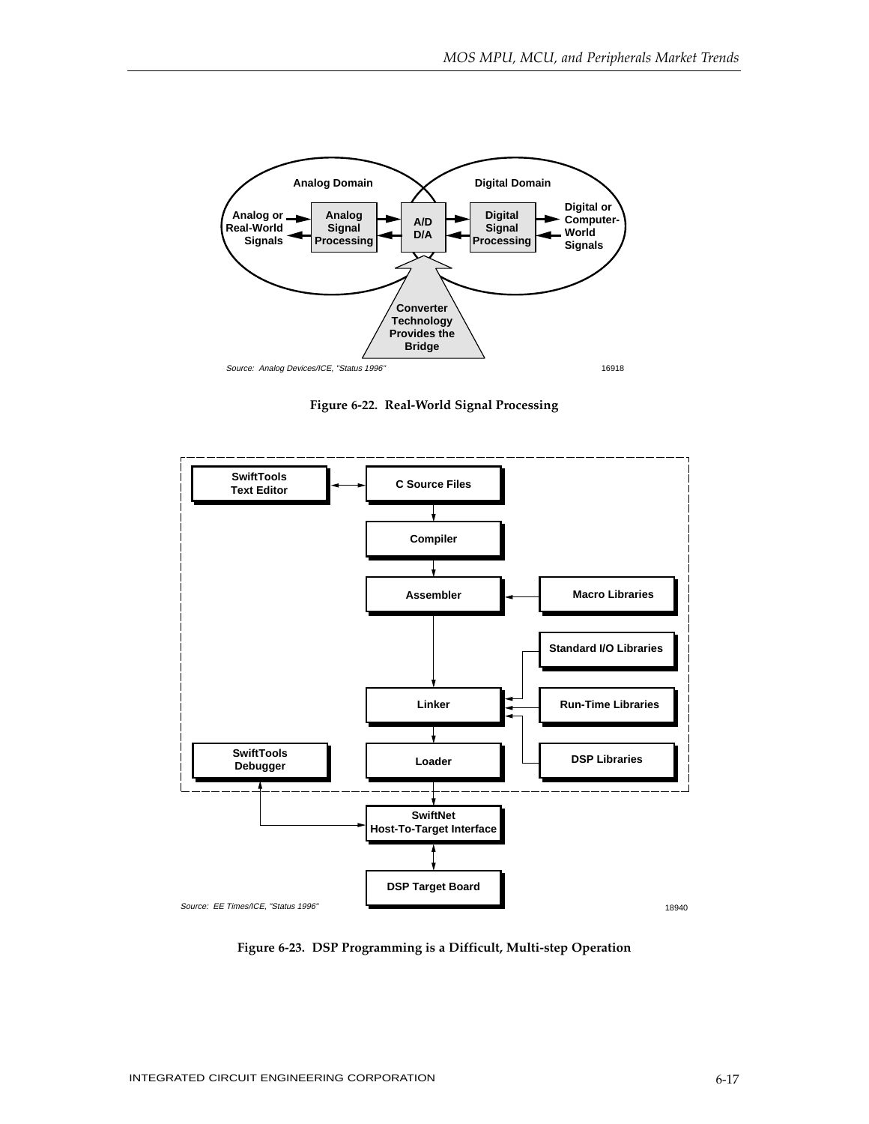

**Figure 6-22. Real-World Signal Processing**



**Figure 6-23. DSP Programming is a Difficult, Multi-step Operation**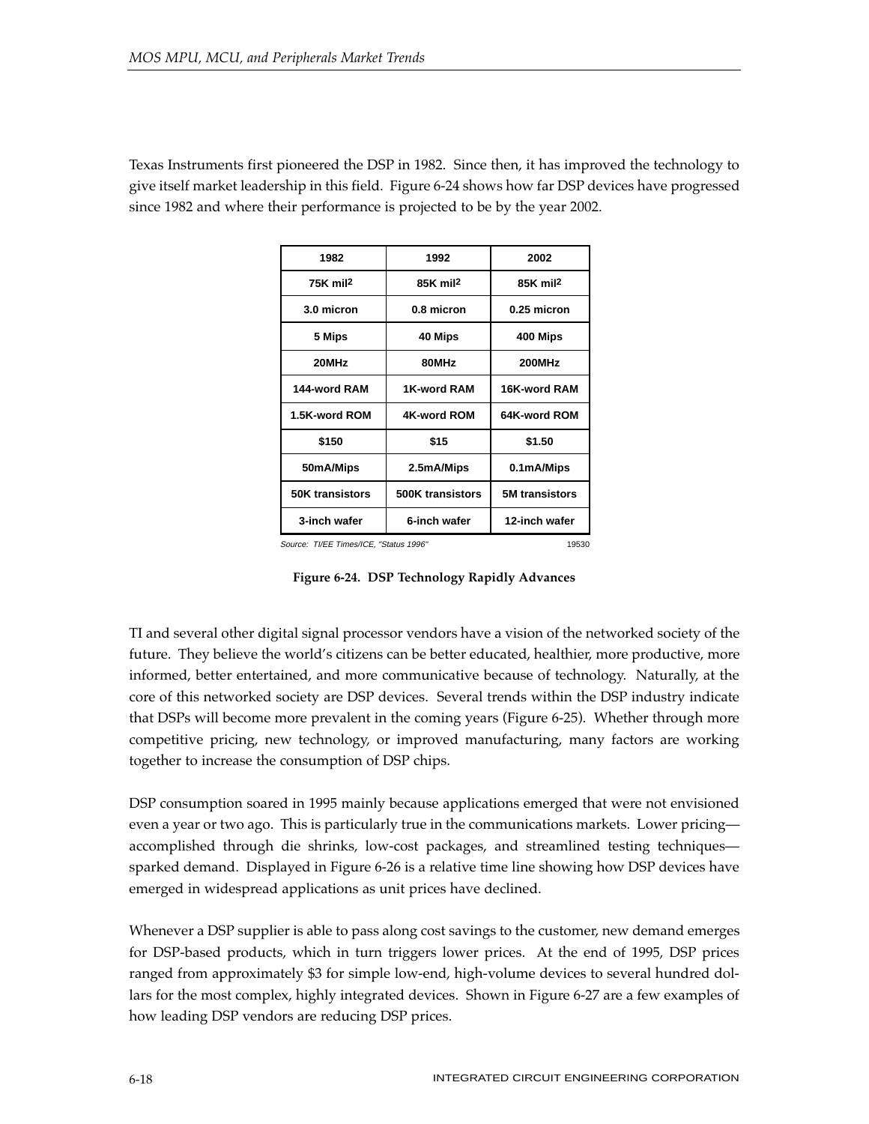Texas Instruments first pioneered the DSP in 1982. Since then, it has improved the technology to give itself market leadership in this field. Figure 6-24 shows how far DSP devices have progressed since 1982 and where their performance is projected to be by the year 2002.

| 1982                   | 1992                 | 2002                  |
|------------------------|----------------------|-----------------------|
| $75K$ mil <sup>2</sup> | 85K mil <sup>2</sup> | 85K mil <sup>2</sup>  |
| 3.0 micron             | 0.8 micron           | 0.25 micron           |
| 5 Mips                 | 40 Mips              | 400 Mips              |
| 20MHz                  | 80MHz                | 200MHz                |
| 144-word RAM           | 1K-word RAM          | 16K-word RAM          |
| 1.5K-word ROM          | 4K-word ROM          | 64K-word ROM          |
| \$150                  | \$15                 | \$1.50                |
| 50mA/Mips              | 2.5mA/Mips           | 0.1mA/Mips            |
| <b>50K transistors</b> | 500K transistors     | <b>5M</b> transistors |
| 3-inch wafer           | 6-inch wafer         | 12-inch wafer         |

Source: TI/EE Times/ICE, "Status 1996"

**Figure 6-24. DSP Technology Rapidly Advances**

TI and several other digital signal processor vendors have a vision of the networked society of the future. They believe the world's citizens can be better educated, healthier, more productive, more informed, better entertained, and more communicative because of technology. Naturally, at the core of this networked society are DSP devices. Several trends within the DSP industry indicate that DSPs will become more prevalent in the coming years (Figure 6-25). Whether through more competitive pricing, new technology, or improved manufacturing, many factors are working together to increase the consumption of DSP chips.

DSP consumption soared in 1995 mainly because applications emerged that were not envisioned even a year or two ago. This is particularly true in the communications markets. Lower pricing accomplished through die shrinks, low-cost packages, and streamlined testing techniques sparked demand. Displayed in Figure 6-26 is a relative time line showing how DSP devices have emerged in widespread applications as unit prices have declined.

Whenever a DSP supplier is able to pass along cost savings to the customer, new demand emerges for DSP-based products, which in turn triggers lower prices. At the end of 1995, DSP prices ranged from approximately \$3 for simple low-end, high-volume devices to several hundred dollars for the most complex, highly integrated devices. Shown in Figure 6-27 are a few examples of how leading DSP vendors are reducing DSP prices.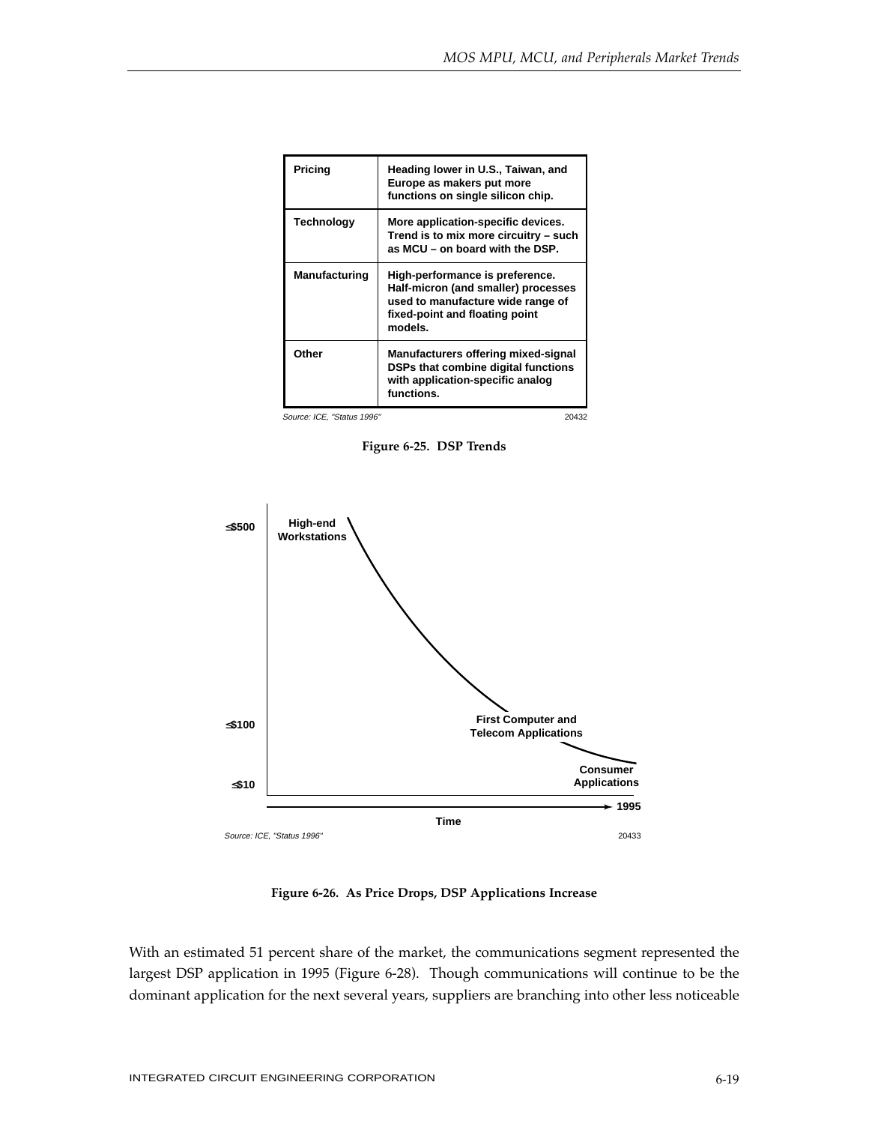| Pricing              | Heading lower in U.S., Taiwan, and<br>Europe as makers put more<br>functions on single silicon chip.                                                     |
|----------------------|----------------------------------------------------------------------------------------------------------------------------------------------------------|
| Technology           | More application-specific devices.<br>Trend is to mix more circuitry - such<br>as MCU - on board with the DSP.                                           |
| <b>Manufacturing</b> | High-performance is preference.<br>Half-micron (and smaller) processes<br>used to manufacture wide range of<br>fixed-point and floating point<br>models. |
| Other                | Manufacturers offering mixed-signal<br>DSPs that combine digital functions<br>with application-specific analog<br>functions.                             |

Source: ICE, "Status 1996" 20432

**Figure 6-25. DSP Trends**



**Figure 6-26. As Price Drops, DSP Applications Increase**

With an estimated 51 percent share of the market, the communications segment represented the largest DSP application in 1995 (Figure 6-28). Though communications will continue to be the dominant application for the next several years, suppliers are branching into other less noticeable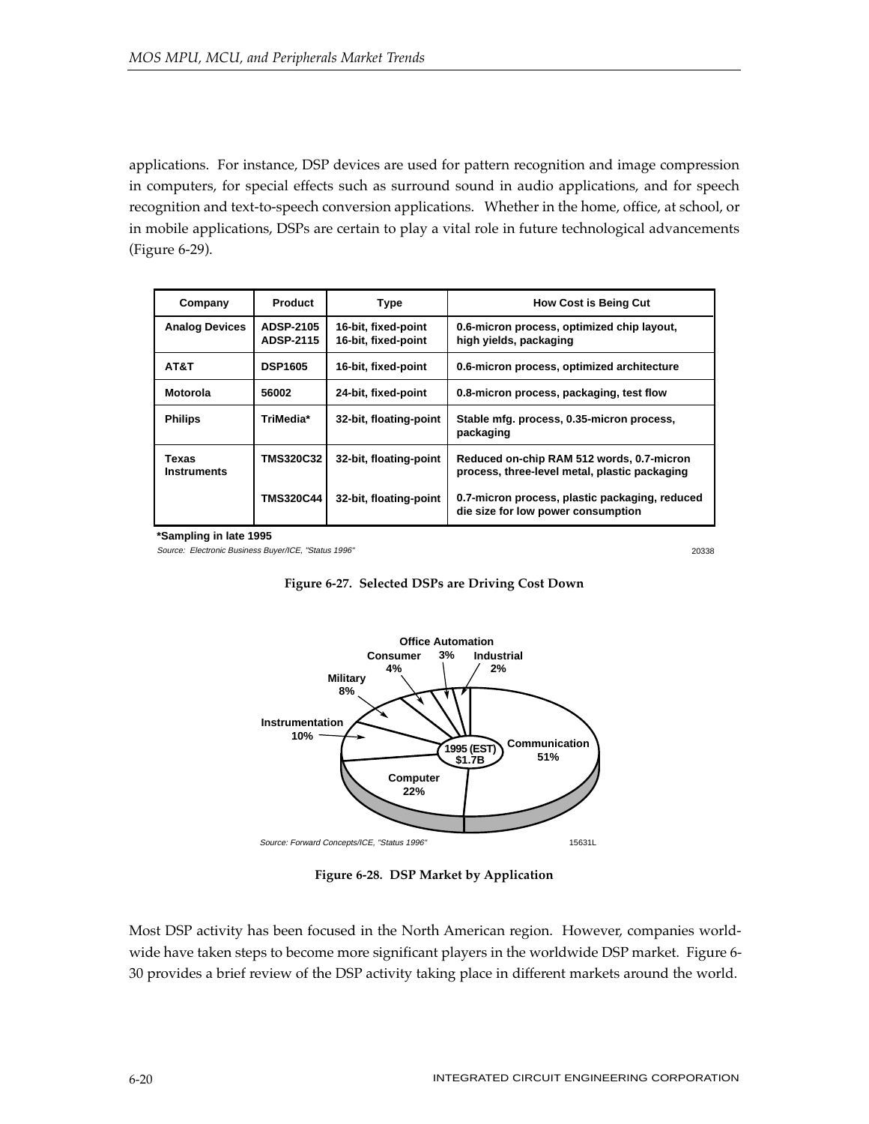applications. For instance, DSP devices are used for pattern recognition and image compression in computers, for special effects such as surround sound in audio applications, and for speech recognition and text-to-speech conversion applications. Whether in the home, office, at school, or in mobile applications, DSPs are certain to play a vital role in future technological advancements (Figure 6-29).

| Company                     | <b>Product</b>                       | <b>Type</b>                                | <b>How Cost is Being Cut</b>                                                               |
|-----------------------------|--------------------------------------|--------------------------------------------|--------------------------------------------------------------------------------------------|
| <b>Analog Devices</b>       | <b>ADSP-2105</b><br><b>ADSP-2115</b> | 16-bit, fixed-point<br>16-bit, fixed-point | 0.6-micron process, optimized chip layout,<br>high yields, packaging                       |
| AT&T                        | <b>DSP1605</b>                       | 16-bit, fixed-point                        | 0.6-micron process, optimized architecture                                                 |
| Motorola                    | 56002                                | 24-bit, fixed-point                        | 0.8-micron process, packaging, test flow                                                   |
| <b>Philips</b>              | TriMedia*                            | 32-bit, floating-point                     | Stable mfg. process, 0.35-micron process,<br>packaging                                     |
| Texas<br><b>Instruments</b> | <b>TMS320C32</b>                     | 32-bit, floating-point                     | Reduced on-chip RAM 512 words, 0.7-micron<br>process, three-level metal, plastic packaging |
|                             | <b>TMS320C44</b>                     | 32-bit, floating-point                     | 0.7-micron process, plastic packaging, reduced<br>die size for low power consumption       |

**\*Sampling in late 1995**

Source: Electronic Business Buyer/ICE, "Status 1996"

20338



**Figure 6-27. Selected DSPs are Driving Cost Down**

**Figure 6-28. DSP Market by Application**

Most DSP activity has been focused in the North American region. However, companies worldwide have taken steps to become more significant players in the worldwide DSP market. Figure 6- 30 provides a brief review of the DSP activity taking place in different markets around the world.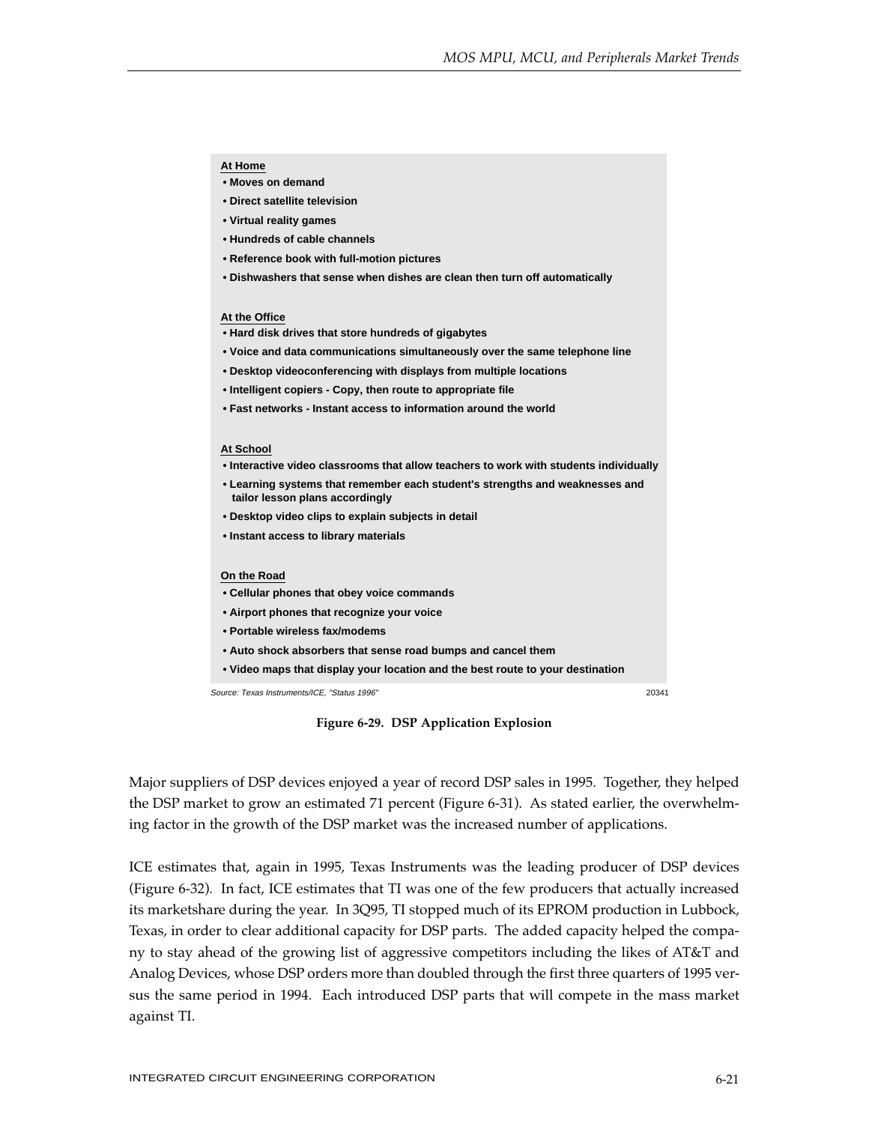#### **At Home**

- **Moves on demand**
- **Direct satellite television**
- **Virtual reality games**
- **Hundreds of cable channels**
- **Reference book with full-motion pictures**
- **Dishwashers that sense when dishes are clean then turn off automatically**

#### **At the Office**

- **Hard disk drives that store hundreds of gigabytes**
- **Voice and data communications simultaneously over the same telephone line**
- **Desktop videoconferencing with displays from multiple locations**
- **Intelligent copiers Copy, then route to appropriate file**
- **Fast networks Instant access to information around the world**

#### **At School**

- **Interactive video classrooms that allow teachers to work with students individually**
- **Learning systems that remember each student's strengths and weaknesses and tailor lesson plans accordingly**
- **Desktop video clips to explain subjects in detail**
- **Instant access to library materials**

#### **On the Road**

- **Cellular phones that obey voice commands**
- **Airport phones that recognize your voice**
- **Portable wireless fax/modems**
- **Auto shock absorbers that sense road bumps and cancel them**
- **Video maps that display your location and the best route to your destination**

Source: Texas Instruments/ICE, "Status 1996" 20341

**Figure 6-29. DSP Application Explosion**

Major suppliers of DSP devices enjoyed a year of record DSP sales in 1995. Together, they helped the DSP market to grow an estimated 71 percent (Figure 6-31). As stated earlier, the overwhelming factor in the growth of the DSP market was the increased number of applications.

ICE estimates that, again in 1995, Texas Instruments was the leading producer of DSP devices (Figure 6-32). In fact, ICE estimates that TI was one of the few producers that actually increased its marketshare during the year. In 3Q95, TI stopped much of its EPROM production in Lubbock, Texas, in order to clear additional capacity for DSP parts. The added capacity helped the company to stay ahead of the growing list of aggressive competitors including the likes of AT&T and Analog Devices, whose DSP orders more than doubled through the first three quarters of 1995 versus the same period in 1994. Each introduced DSP parts that will compete in the mass market against TI.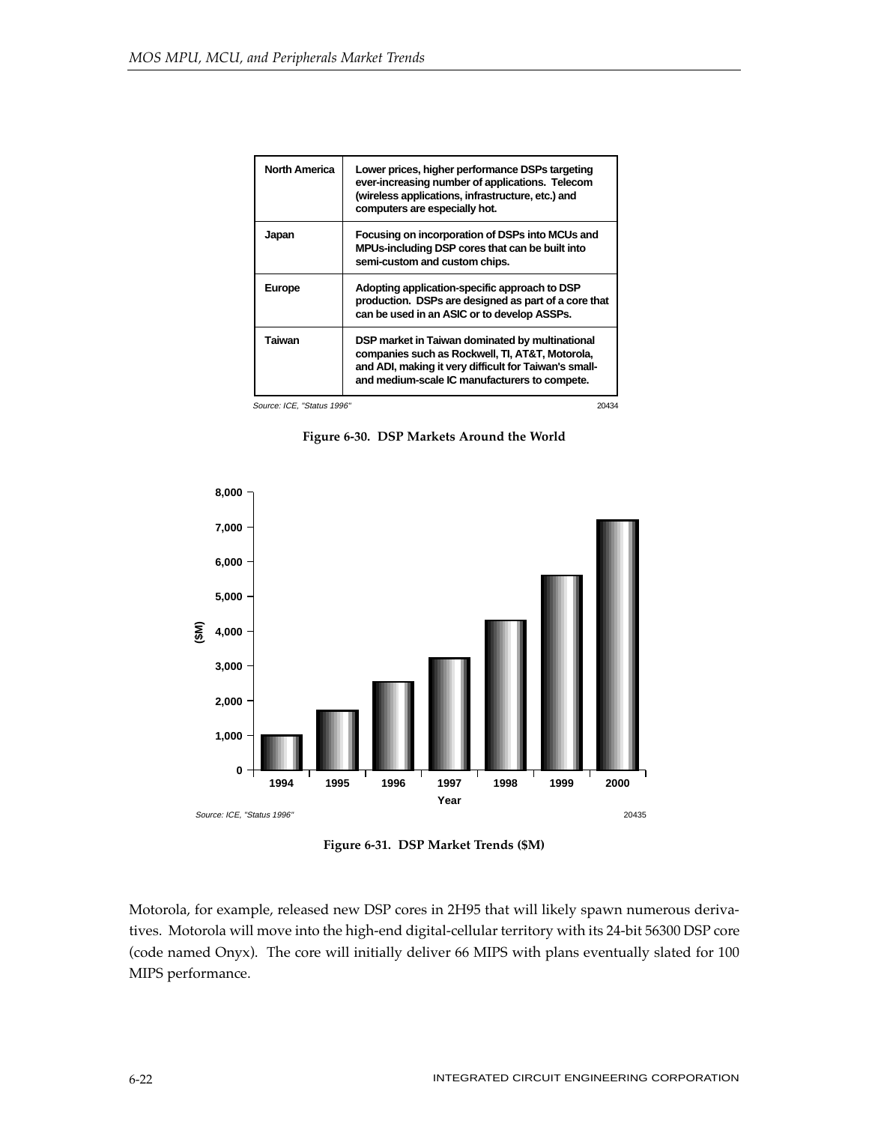| <b>North America</b> | Lower prices, higher performance DSPs targeting<br>ever-increasing number of applications. Telecom<br>(wireless applications, infrastructure, etc.) and<br>computers are especially hot.                     |
|----------------------|--------------------------------------------------------------------------------------------------------------------------------------------------------------------------------------------------------------|
| Japan                | Focusing on incorporation of DSPs into MCUs and<br>MPUs-including DSP cores that can be built into<br>semi-custom and custom chips.                                                                          |
| <b>Europe</b>        | Adopting application-specific approach to DSP<br>production. DSPs are designed as part of a core that<br>can be used in an ASIC or to develop ASSPs.                                                         |
| Taiwan               | DSP market in Taiwan dominated by multinational<br>companies such as Rockwell, TI, AT&T, Motorola,<br>and ADI, making it very difficult for Taiwan's small-<br>and medium-scale IC manufacturers to compete. |

Source: ICE, "Status 1996" 20434

**Figure 6-30. DSP Markets Around the World**



**Figure 6-31. DSP Market Trends (\$M)**

Motorola, for example, released new DSP cores in 2H95 that will likely spawn numerous derivatives. Motorola will move into the high-end digital-cellular territory with its 24-bit 56300 DSP core (code named Onyx). The core will initially deliver 66 MIPS with plans eventually slated for 100 MIPS performance.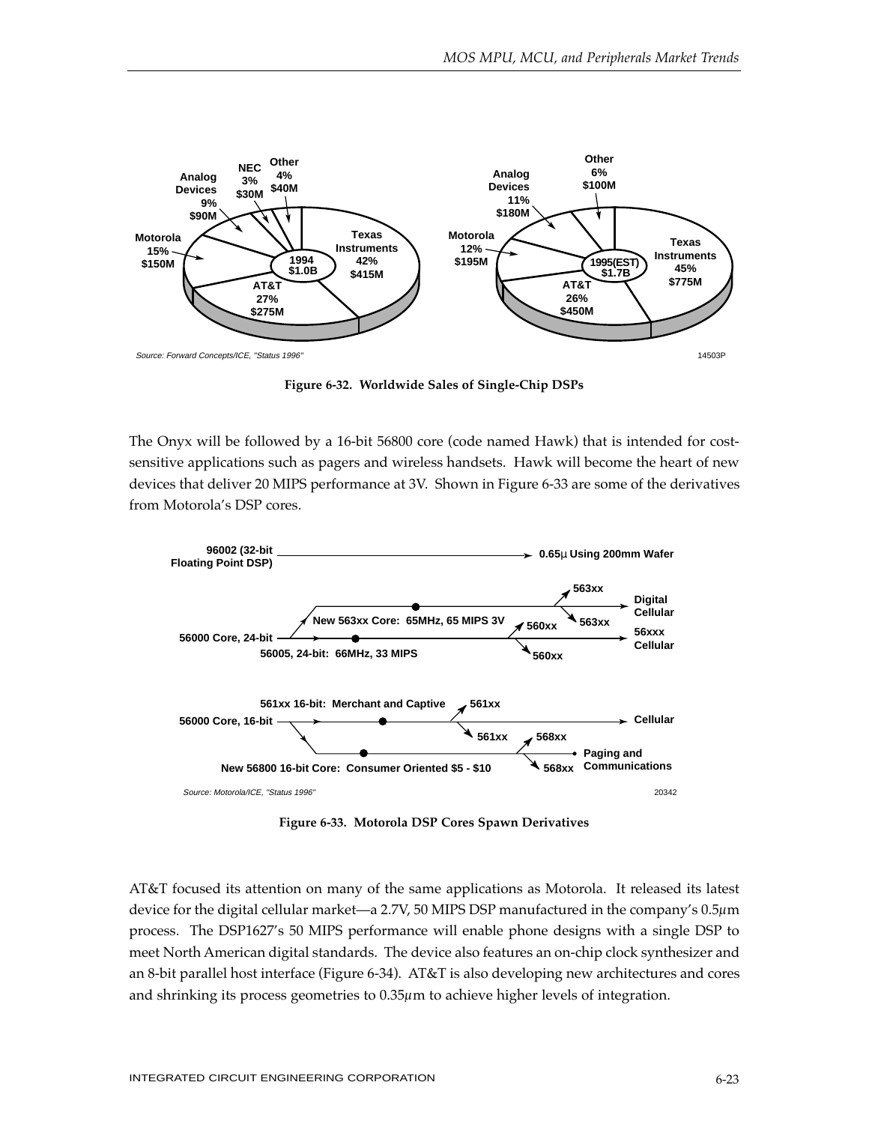

**Figure 6-32. Worldwide Sales of Single-Chip DSPs**

The Onyx will be followed by a 16-bit 56800 core (code named Hawk) that is intended for costsensitive applications such as pagers and wireless handsets. Hawk will become the heart of new devices that deliver 20 MIPS performance at 3V. Shown in Figure 6-33 are some of the derivatives from Motorola's DSP cores.



**Figure 6-33. Motorola DSP Cores Spawn Derivatives**

AT&T focused its attention on many of the same applications as Motorola. It released its latest device for the digital cellular market—a 2.7V, 50 MIPS DSP manufactured in the company's 0.5µm process. The DSP1627's 50 MIPS performance will enable phone designs with a single DSP to meet North American digital standards. The device also features an on-chip clock synthesizer and an 8-bit parallel host interface (Figure 6-34). AT&T is also developing new architectures and cores and shrinking its process geometries to 0.35µm to achieve higher levels of integration.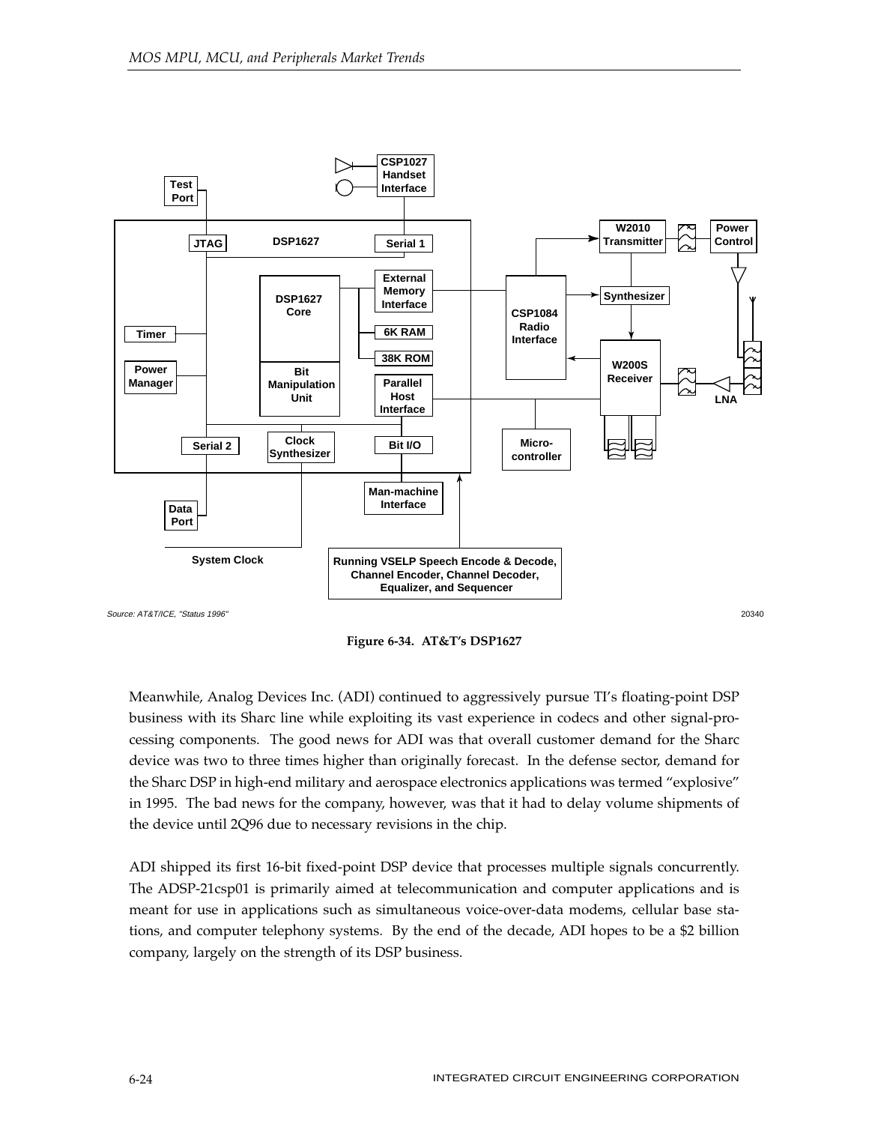

**Figure 6-34. AT&T's DSP1627**

Meanwhile, Analog Devices Inc. (ADI) continued to aggressively pursue TI's floating-point DSP business with its Sharc line while exploiting its vast experience in codecs and other signal-processing components. The good news for ADI was that overall customer demand for the Sharc device was two to three times higher than originally forecast. In the defense sector, demand for the Sharc DSP in high-end military and aerospace electronics applications was termed "explosive" in 1995. The bad news for the company, however, was that it had to delay volume shipments of the device until 2Q96 due to necessary revisions in the chip.

ADI shipped its first 16-bit fixed-point DSP device that processes multiple signals concurrently. The ADSP-21csp01 is primarily aimed at telecommunication and computer applications and is meant for use in applications such as simultaneous voice-over-data modems, cellular base stations, and computer telephony systems. By the end of the decade, ADI hopes to be a \$2 billion company, largely on the strength of its DSP business.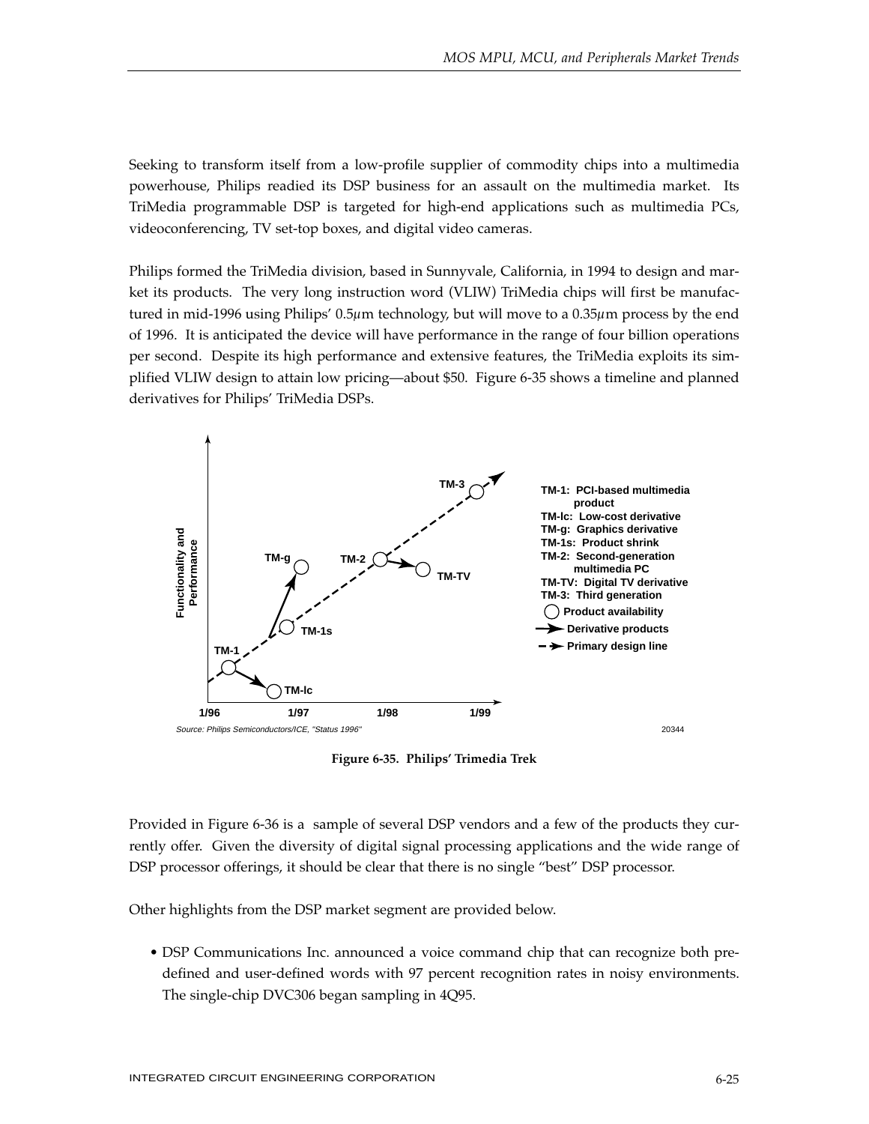Seeking to transform itself from a low-profile supplier of commodity chips into a multimedia powerhouse, Philips readied its DSP business for an assault on the multimedia market. Its TriMedia programmable DSP is targeted for high-end applications such as multimedia PCs, videoconferencing, TV set-top boxes, and digital video cameras.

Philips formed the TriMedia division, based in Sunnyvale, California, in 1994 to design and market its products. The very long instruction word (VLIW) TriMedia chips will first be manufactured in mid-1996 using Philips' 0.5µm technology, but will move to a 0.35µm process by the end of 1996. It is anticipated the device will have performance in the range of four billion operations per second. Despite its high performance and extensive features, the TriMedia exploits its simplified VLIW design to attain low pricing—about \$50. Figure 6-35 shows a timeline and planned derivatives for Philips' TriMedia DSPs.



**Figure 6-35. Philips' Trimedia Trek**

Provided in Figure 6-36 is a sample of several DSP vendors and a few of the products they currently offer. Given the diversity of digital signal processing applications and the wide range of DSP processor offerings, it should be clear that there is no single "best" DSP processor.

Other highlights from the DSP market segment are provided below.

• DSP Communications Inc. announced a voice command chip that can recognize both predefined and user-defined words with 97 percent recognition rates in noisy environments. The single-chip DVC306 began sampling in 4Q95.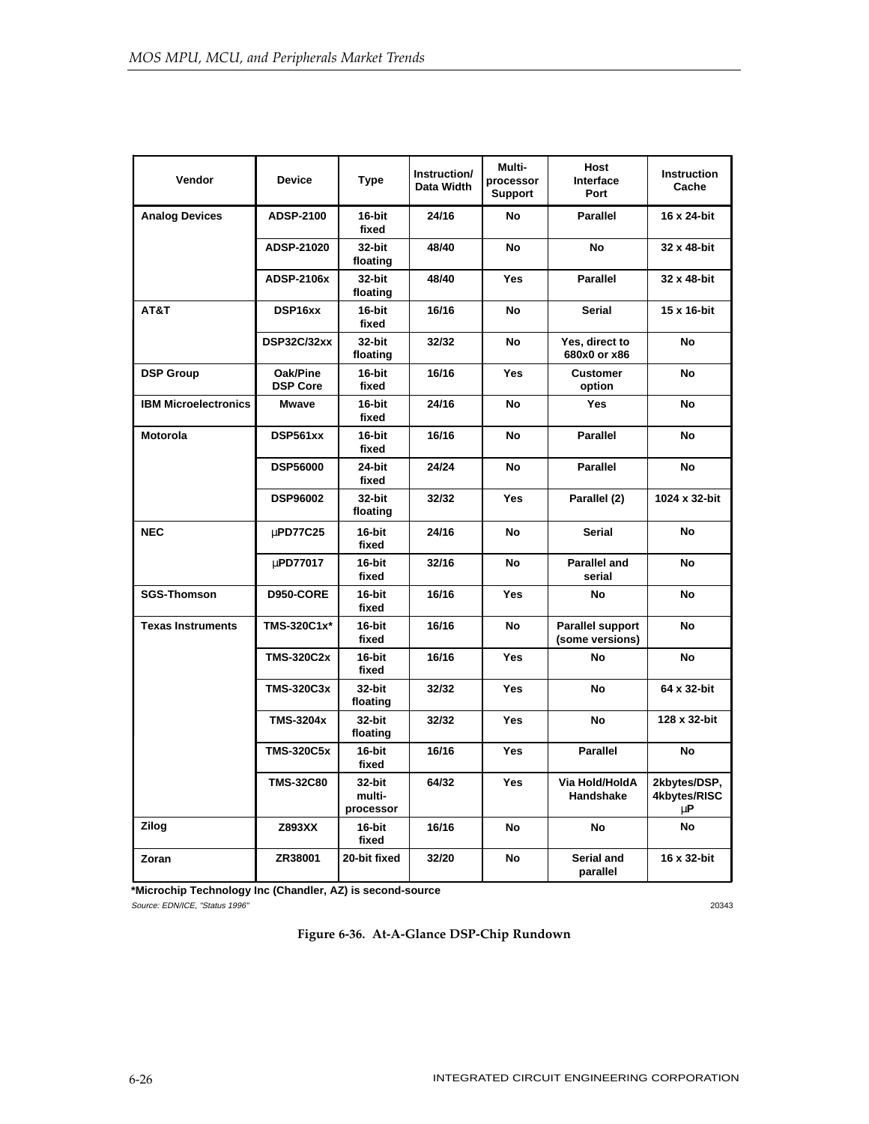| Vendor                      | <b>Device</b>               | <b>Type</b>                   | Instruction/<br>Data Width | Multi-<br>processor<br><b>Support</b> | <b>Host</b><br>Interface<br>Port    | <b>Instruction</b><br>Cache             |
|-----------------------------|-----------------------------|-------------------------------|----------------------------|---------------------------------------|-------------------------------------|-----------------------------------------|
| <b>Analog Devices</b>       | <b>ADSP-2100</b>            | 16-bit<br>fixed               | 24/16                      | <b>No</b>                             | <b>Parallel</b>                     | 16 x 24-bit                             |
|                             | ADSP-21020                  | 32-bit<br>floating            | 48/40                      | No                                    | No                                  | 32 x 48-bit                             |
|                             | <b>ADSP-2106x</b>           | 32-bit<br>floating            | 48/40                      | <b>Yes</b>                            | <b>Parallel</b>                     | 32 x 48-bit                             |
| AT&T                        | DSP16xx                     | 16-bit<br>fixed               | 16/16                      | <b>No</b>                             | <b>Serial</b>                       | 15 x 16-bit                             |
|                             | DSP32C/32xx                 | 32-bit<br>floating            | 32/32                      | No                                    | Yes, direct to<br>680x0 or x86      | No                                      |
| <b>DSP Group</b>            | Oak/Pine<br><b>DSP Core</b> | 16-bit<br>fixed               | 16/16                      | <b>Yes</b>                            | <b>Customer</b><br>option           | No                                      |
| <b>IBM Microelectronics</b> | <b>Mwave</b>                | $16$ -bit<br>fixed            | 24/16                      | <b>No</b>                             | Yes                                 | No                                      |
| <b>Motorola</b>             | DSP561xx                    | 16-bit<br>fixed               | 16/16                      | No                                    | <b>Parallel</b>                     | No                                      |
|                             | <b>DSP56000</b>             | 24-bit<br>fixed               | 24/24                      | <b>No</b>                             | <b>Parallel</b>                     | No                                      |
|                             | <b>DSP96002</b>             | 32-bit<br>floating            | 32/32                      | Yes                                   | Parallel (2)                        | 1024 x 32-bit                           |
| <b>NEC</b>                  | µPD77C25                    | 16-bit<br>fixed               | 24/16                      | No                                    | Serial                              | No                                      |
|                             | µPD77017                    | 16-bit<br>fixed               | 32/16                      | No                                    | <b>Parallel and</b><br>serial       | No                                      |
| <b>SGS-Thomson</b>          | <b>D950-CORE</b>            | 16-bit<br>fixed               | 16/16                      | Yes                                   | <b>No</b>                           | No                                      |
| <b>Texas Instruments</b>    | TMS-320C1x*                 | 16-bit<br>fixed               | 16/16                      | No                                    | Parallel support<br>(some versions) | No                                      |
|                             | <b>TMS-320C2x</b>           | 16-bit<br>fixed               | 16/16                      | <b>Yes</b>                            | No                                  | No                                      |
|                             | <b>TMS-320C3x</b>           | 32-bit<br>floating            | 32/32                      | Yes                                   | <b>No</b>                           | 64 x 32-bit                             |
|                             | <b>TMS-3204x</b>            | 32-bit<br>floating            | 32/32                      | <b>Yes</b>                            | No                                  | 128 x 32-bit                            |
|                             | <b>TMS-320C5x</b>           | 16-bit<br>fixed               | 16/16                      | Yes                                   | <b>Parallel</b>                     | No                                      |
|                             | <b>TMS-32C80</b>            | 32-bit<br>multi-<br>processor | 64/32                      | Yes                                   | Via Hold/HoldA<br>Handshake         | 2kbytes/DSP,<br>4kbytes/RISC<br>$\mu$ P |
| <b>Zilog</b>                | Z893XX                      | 16-bit<br>fixed               | 16/16                      | No                                    | No                                  | <b>No</b>                               |
| Zoran                       | ZR38001                     | 20-bit fixed                  | 32/20                      | No                                    | Serial and<br>parallel              | 16 x 32-bit                             |

**\*Microchip Technology Inc (Chandler, AZ) is second-source**

Source: EDN/ICE, "Status 1996" 20343

# **Figure 6-36. At-A-Glance DSP-Chip Rundown**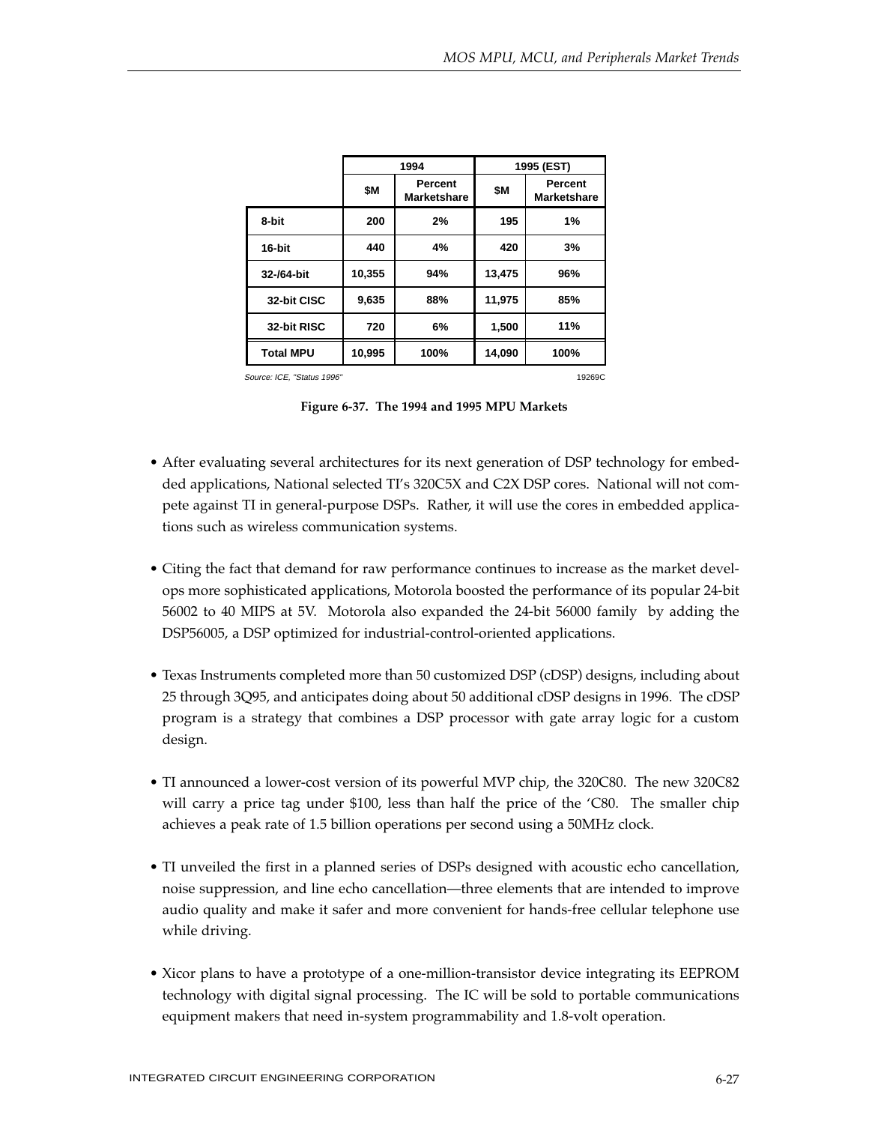|                                     | 1994   |                               |        | 1995 (EST)                    |  |
|-------------------------------------|--------|-------------------------------|--------|-------------------------------|--|
|                                     | \$M    | Percent<br><b>Marketshare</b> | \$M    | Percent<br><b>Marketshare</b> |  |
| 8-bit                               | 200    | 2%                            | 195    | 1%                            |  |
| 16-bit                              | 440    | 4%                            | 420    | 3%                            |  |
| 32-/64-bit                          | 10,355 | 94%                           | 13,475 | 96%                           |  |
| 32-bit CISC                         | 9,635  | 88%                           | 11,975 | 85%                           |  |
| 32-bit RISC                         | 720    | 6%                            | 1,500  | 11%                           |  |
| <b>Total MPU</b>                    | 10,995 | 100%                          | 14,090 | 100%                          |  |
| Source: ICE "Statue 1006"<br>10260C |        |                               |        |                               |  |

Source: ICE, "Status 1996"

**Figure 6-37. The 1994 and 1995 MPU Markets**

- After evaluating several architectures for its next generation of DSP technology for embedded applications, National selected TI's 320C5X and C2X DSP cores. National will not compete against TI in general-purpose DSPs. Rather, it will use the cores in embedded applications such as wireless communication systems.
- Citing the fact that demand for raw performance continues to increase as the market develops more sophisticated applications, Motorola boosted the performance of its popular 24-bit 56002 to 40 MIPS at 5V. Motorola also expanded the 24-bit 56000 family by adding the DSP56005, a DSP optimized for industrial-control-oriented applications.
- Texas Instruments completed more than 50 customized DSP (cDSP) designs, including about 25 through 3Q95, and anticipates doing about 50 additional cDSP designs in 1996. The cDSP program is a strategy that combines a DSP processor with gate array logic for a custom design.
- TI announced a lower-cost version of its powerful MVP chip, the 320C80. The new 320C82 will carry a price tag under \$100, less than half the price of the 'C80. The smaller chip achieves a peak rate of 1.5 billion operations per second using a 50MHz clock.
- TI unveiled the first in a planned series of DSPs designed with acoustic echo cancellation, noise suppression, and line echo cancellation—three elements that are intended to improve audio quality and make it safer and more convenient for hands-free cellular telephone use while driving.
- Xicor plans to have a prototype of a one-million-transistor device integrating its EEPROM technology with digital signal processing. The IC will be sold to portable communications equipment makers that need in-system programmability and 1.8-volt operation.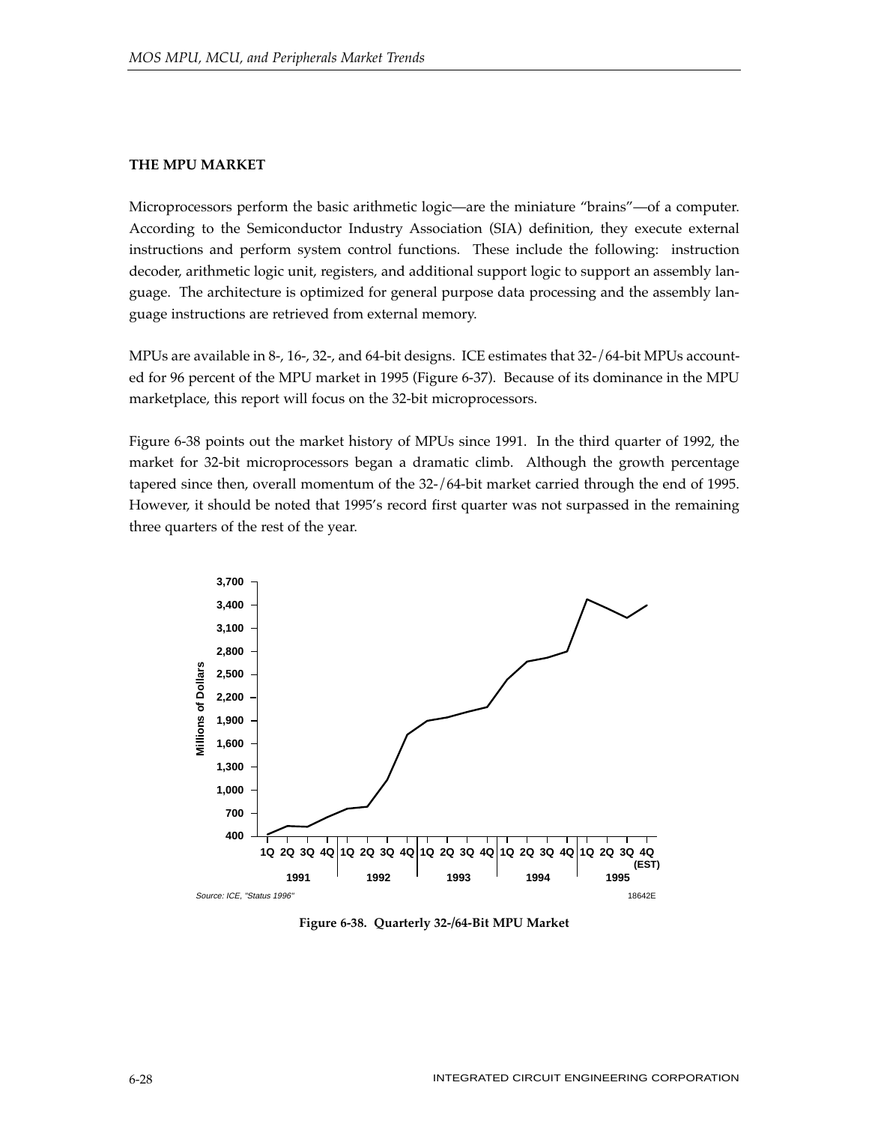## **THE MPU MARKET**

Microprocessors perform the basic arithmetic logic—are the miniature "brains"—of a computer. According to the Semiconductor Industry Association (SIA) definition, they execute external instructions and perform system control functions. These include the following: instruction decoder, arithmetic logic unit, registers, and additional support logic to support an assembly language. The architecture is optimized for general purpose data processing and the assembly language instructions are retrieved from external memory.

MPUs are available in 8-, 16-, 32-, and 64-bit designs. ICE estimates that 32-/64-bit MPUs accounted for 96 percent of the MPU market in 1995 (Figure 6-37). Because of its dominance in the MPU marketplace, this report will focus on the 32-bit microprocessors.

Figure 6-38 points out the market history of MPUs since 1991. In the third quarter of 1992, the market for 32-bit microprocessors began a dramatic climb. Although the growth percentage tapered since then, overall momentum of the 32-/64-bit market carried through the end of 1995. However, it should be noted that 1995's record first quarter was not surpassed in the remaining three quarters of the rest of the year.



**Figure 6-38. Quarterly 32-/64-Bit MPU Market**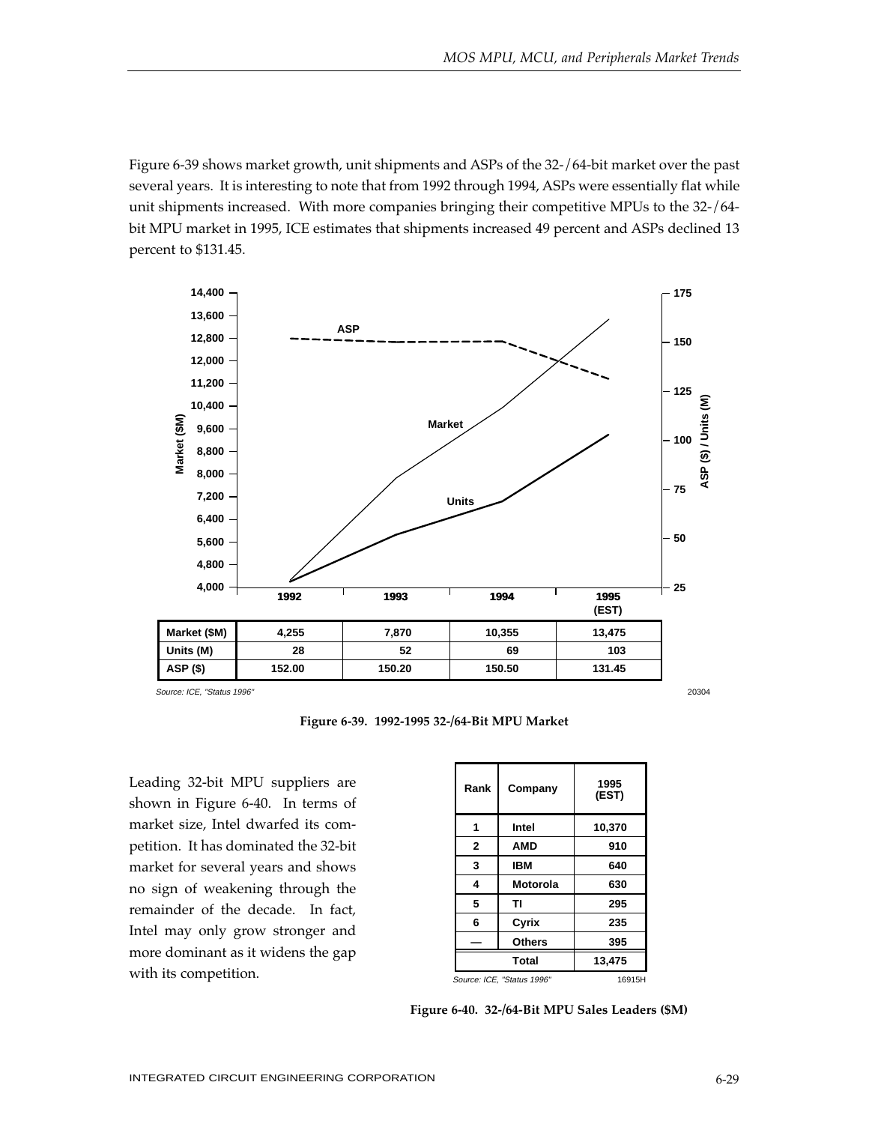Figure 6-39 shows market growth, unit shipments and ASPs of the 32-/64-bit market over the past several years. It is interesting to note that from 1992 through 1994, ASPs were essentially flat while unit shipments increased. With more companies bringing their competitive MPUs to the 32-/64 bit MPU market in 1995, ICE estimates that shipments increased 49 percent and ASPs declined 13 percent to \$131.45.



Source: ICE, "Status 1996"

**Figure 6-39. 1992-1995 32-/64-Bit MPU Market**

Leading 32-bit MPU suppliers are shown in Figure 6-40. In terms of market size, Intel dwarfed its competition. It has dominated the 32-bit market for several years and shows no sign of weakening through the remainder of the decade. In fact, Intel may only grow stronger and more dominant as it widens the gap with its competition.

| Rank          | Company                    | 1995<br>(EST) |
|---------------|----------------------------|---------------|
| 1             | Intel                      | 10,370        |
| $\mathbf{2}$  | AMD                        | 910           |
| 3             | IBM                        | 640           |
| 4             | Motorola                   | 630           |
| 5             | тι                         | 295           |
| 6             | Cyrix                      | 235           |
| <b>Others</b> |                            | 395           |
| <b>Total</b>  |                            | 13,475        |
|               | Source: ICE, "Status 1996" | 16915H        |

**Figure 6-40. 32-/64-Bit MPU Sales Leaders (\$M)**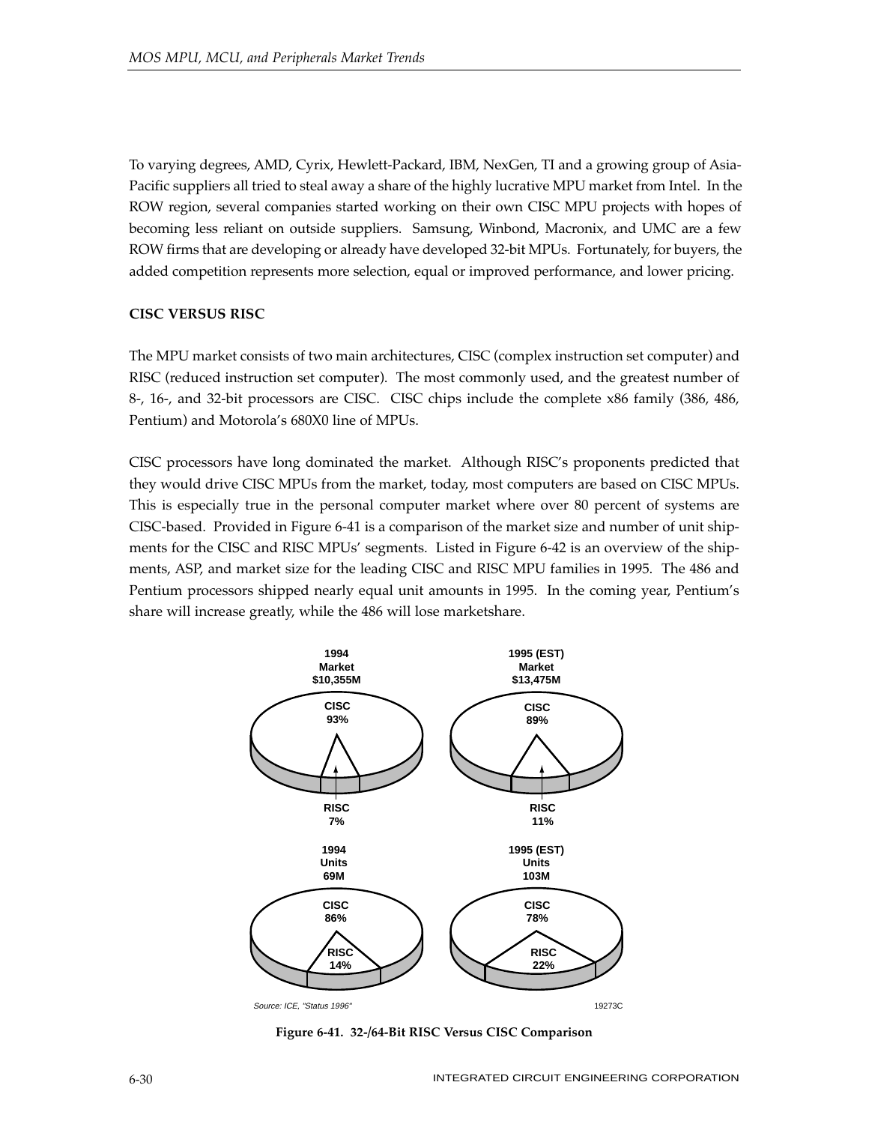To varying degrees, AMD, Cyrix, Hewlett-Packard, IBM, NexGen, TI and a growing group of Asia-Pacific suppliers all tried to steal away a share of the highly lucrative MPU market from Intel. In the ROW region, several companies started working on their own CISC MPU projects with hopes of becoming less reliant on outside suppliers. Samsung, Winbond, Macronix, and UMC are a few ROW firms that are developing or already have developed 32-bit MPUs. Fortunately, for buyers, the added competition represents more selection, equal or improved performance, and lower pricing.

## **CISC VERSUS RISC**

The MPU market consists of two main architectures, CISC (complex instruction set computer) and RISC (reduced instruction set computer). The most commonly used, and the greatest number of 8-, 16-, and 32-bit processors are CISC. CISC chips include the complete x86 family (386, 486, Pentium) and Motorola's 680X0 line of MPUs.

CISC processors have long dominated the market. Although RISC's proponents predicted that they would drive CISC MPUs from the market, today, most computers are based on CISC MPUs. This is especially true in the personal computer market where over 80 percent of systems are CISC-based. Provided in Figure 6-41 is a comparison of the market size and number of unit shipments for the CISC and RISC MPUs' segments. Listed in Figure 6-42 is an overview of the shipments, ASP, and market size for the leading CISC and RISC MPU families in 1995. The 486 and Pentium processors shipped nearly equal unit amounts in 1995. In the coming year, Pentium's share will increase greatly, while the 486 will lose marketshare.



**Figure 6-41. 32-/64-Bit RISC Versus CISC Comparison**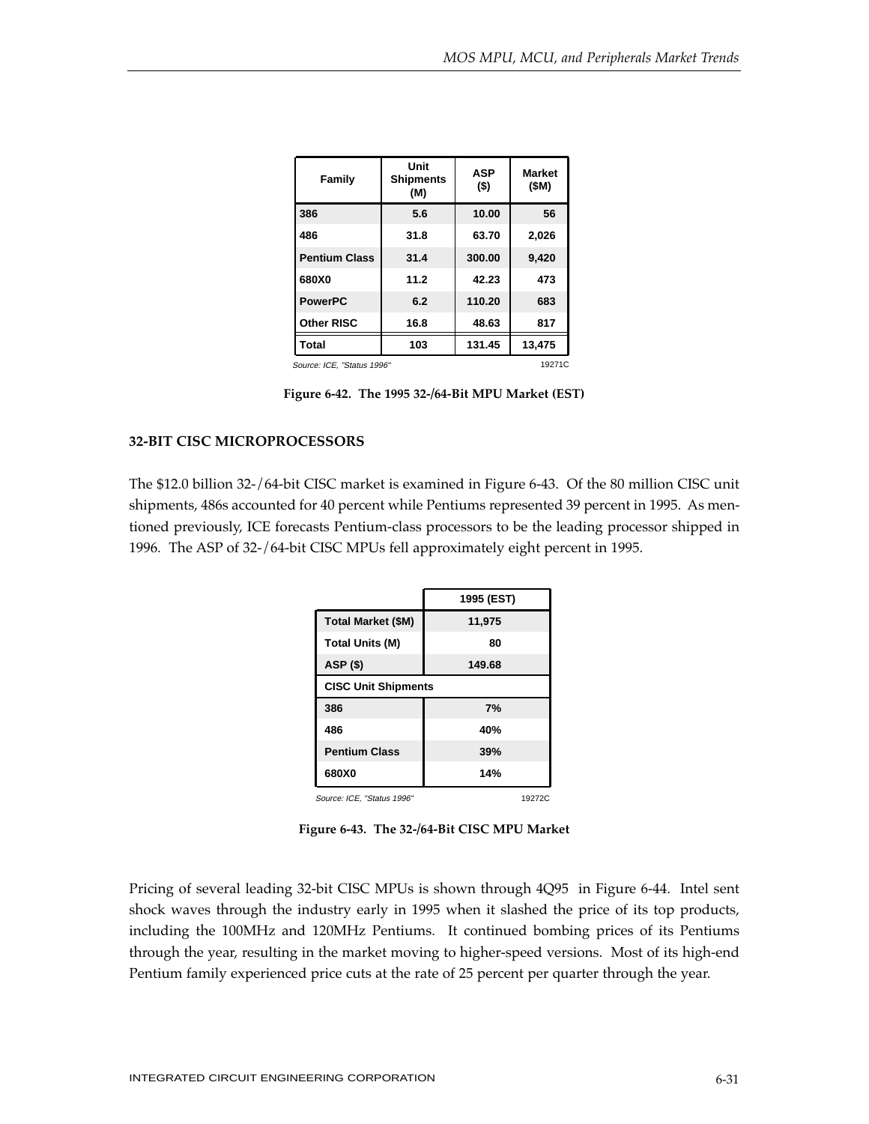| Family                               | Unit<br><b>Shipments</b><br>(M) | <b>ASP</b><br>$($ \$) | <b>Market</b><br>(SM) |  |  |  |
|--------------------------------------|---------------------------------|-----------------------|-----------------------|--|--|--|
| 386                                  | 5.6                             | 10.00                 | 56                    |  |  |  |
| 486                                  | 31.8                            | 63.70                 | 2,026                 |  |  |  |
| <b>Pentium Class</b>                 | 31.4                            | 300.00                | 9,420                 |  |  |  |
| 680X0                                | 11.2                            | 42.23                 | 473                   |  |  |  |
| <b>PowerPC</b>                       | 6.2                             | 110.20                | 683                   |  |  |  |
| <b>Other RISC</b>                    | 16.8                            | 48.63                 | 817                   |  |  |  |
| <b>Total</b>                         | 103                             | 131.45                | 13,475                |  |  |  |
| 19271C<br>Source: ICE, "Status 1996" |                                 |                       |                       |  |  |  |

**Figure 6-42. The 1995 32-/64-Bit MPU Market (EST)**

## **32-BIT CISC MICROPROCESSORS**

The \$12.0 billion 32-/64-bit CISC market is examined in Figure 6-43. Of the 80 million CISC unit shipments, 486s accounted for 40 percent while Pentiums represented 39 percent in 1995. As mentioned previously, ICE forecasts Pentium-class processors to be the leading processor shipped in 1996. The ASP of 32-/64-bit CISC MPUs fell approximately eight percent in 1995.

|                            | 1995 (EST) |  |  |  |
|----------------------------|------------|--|--|--|
| <b>Total Market (\$M)</b>  | 11,975     |  |  |  |
| <b>Total Units (M)</b>     | 80         |  |  |  |
| ASP (\$)                   | 149.68     |  |  |  |
| <b>CISC Unit Shipments</b> |            |  |  |  |
| 386                        | 7%         |  |  |  |
| 486                        | 40%        |  |  |  |
| <b>Pentium Class</b>       | 39%        |  |  |  |
| 680X0                      | 14%        |  |  |  |
| Source: ICE, "Status 1996" | 19272C     |  |  |  |

**Figure 6-43. The 32-/64-Bit CISC MPU Market**

Pricing of several leading 32-bit CISC MPUs is shown through 4Q95 in Figure 6-44. Intel sent shock waves through the industry early in 1995 when it slashed the price of its top products, including the 100MHz and 120MHz Pentiums. It continued bombing prices of its Pentiums through the year, resulting in the market moving to higher-speed versions. Most of its high-end Pentium family experienced price cuts at the rate of 25 percent per quarter through the year.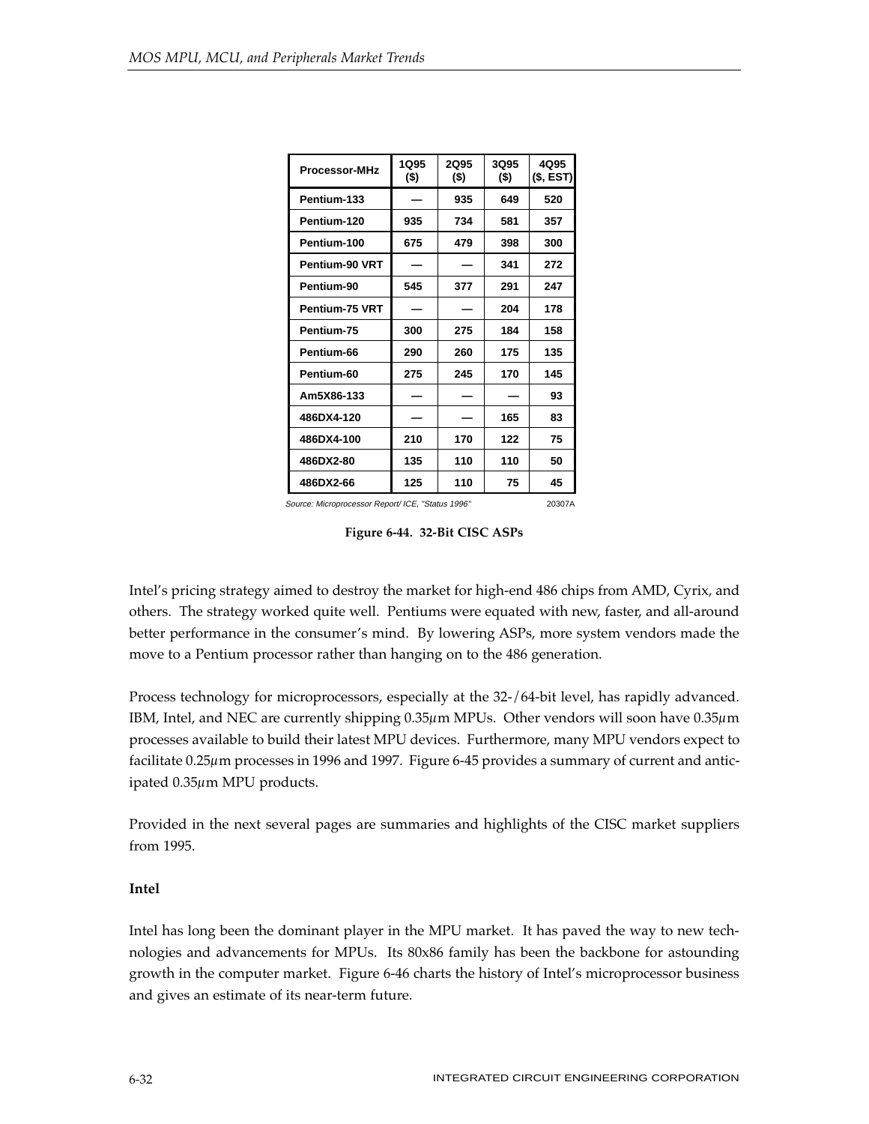| <b>Processor-MHz</b> | 1Q95<br>(\$) | 2Q95<br>$($ \$) | 3Q95<br>(\$) | 4Q95<br>(\$, EST) |
|----------------------|--------------|-----------------|--------------|-------------------|
| Pentium-133          |              | 935             | 649          | 520               |
| Pentium-120          | 935          | 734             | 581          | 357               |
| Pentium-100          | 675          | 479             | 398          | 300               |
| Pentium-90 VRT       |              |                 | 341          | 272               |
| Pentium-90           | 545          | 377             | 291          | 247               |
| Pentium-75 VRT       |              |                 | 204          | 178               |
| Pentium-75           | 300          | 275             | 184          | 158               |
| Pentium-66           | 290          | 260             | 175          | 135               |
| Pentium-60           | 275          | 245             | 170          | 145               |
| Am5X86-133           |              |                 |              | 93                |
| 486DX4-120           |              |                 | 165          | 83                |
| 486DX4-100           | 210          | 170             | 122          | 75                |
| 486DX2-80            | 135          | 110             | 110          | 50                |
| 486DX2-66            | 125          | 110             | 75           | 45                |

Source: Microprocessor Report/ ICE, "Status 1996" 20307A

**Figure 6-44. 32-Bit CISC ASPs**

Intel's pricing strategy aimed to destroy the market for high-end 486 chips from AMD, Cyrix, and others. The strategy worked quite well. Pentiums were equated with new, faster, and all-around better performance in the consumer's mind. By lowering ASPs, more system vendors made the move to a Pentium processor rather than hanging on to the 486 generation.

Process technology for microprocessors, especially at the 32-/64-bit level, has rapidly advanced. IBM, Intel, and NEC are currently shipping 0.35µm MPUs. Other vendors will soon have 0.35µm processes available to build their latest MPU devices. Furthermore, many MPU vendors expect to facilitate 0.25µm processes in 1996 and 1997. Figure 6-45 provides a summary of current and anticipated 0.35µm MPU products.

Provided in the next several pages are summaries and highlights of the CISC market suppliers from 1995.

## **Intel**

Intel has long been the dominant player in the MPU market. It has paved the way to new technologies and advancements for MPUs. Its 80x86 family has been the backbone for astounding growth in the computer market. Figure 6-46 charts the history of Intel's microprocessor business and gives an estimate of its near-term future.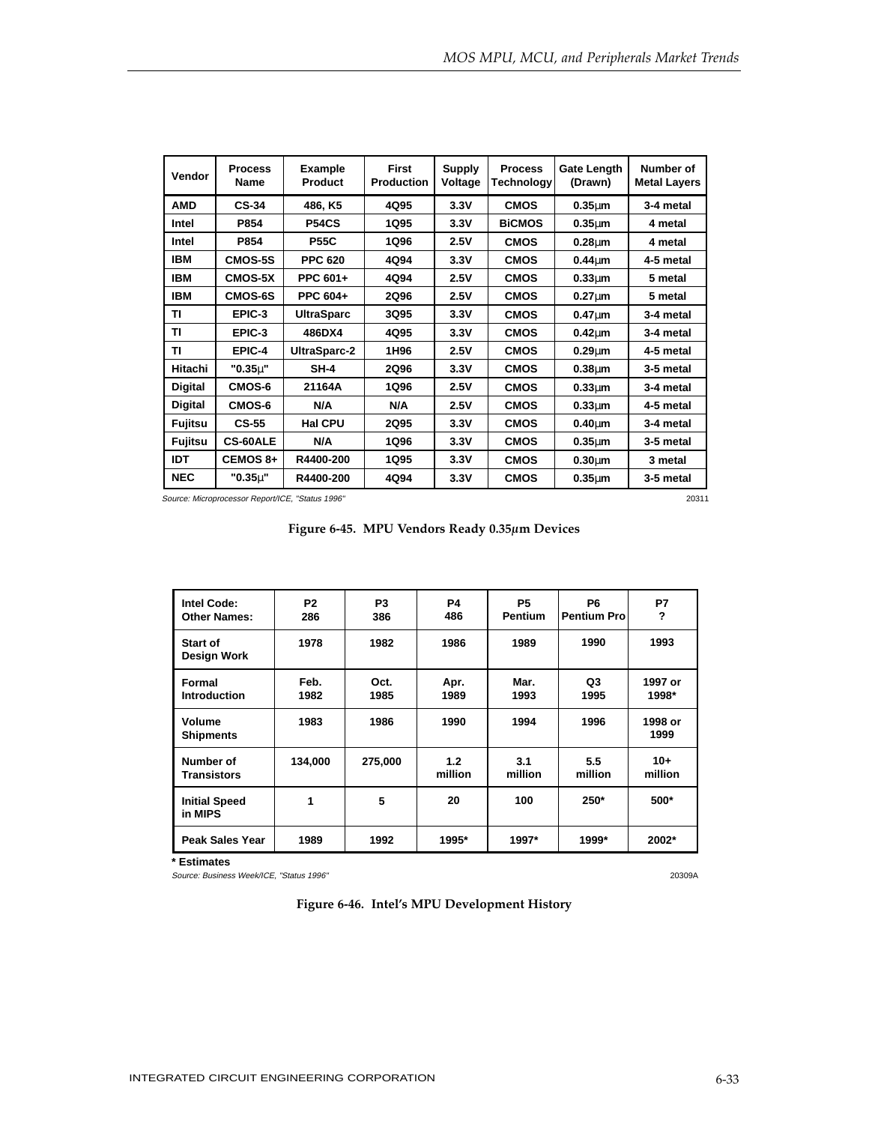| Vendor         | <b>Process</b><br>Name | <b>Example</b><br>Product | <b>First</b><br><b>Production</b> | <b>Supply</b><br>Voltage | <b>Process</b><br>Technology | <b>Gate Length</b><br>(Drawn) | Number of<br><b>Metal Layers</b> |
|----------------|------------------------|---------------------------|-----------------------------------|--------------------------|------------------------------|-------------------------------|----------------------------------|
| <b>AMD</b>     | <b>CS-34</b>           | 486, K5                   | 4Q95                              | 3.3V                     | <b>CMOS</b>                  | $0.35 \mu m$                  | 3-4 metal                        |
| Intel          | P854                   | <b>P54CS</b>              | 1Q95                              | 3.3V                     | <b>BICMOS</b>                | $0.35 \mu m$                  | 4 metal                          |
| Intel          | P854                   | <b>P55C</b>               | 1Q96                              | 2.5V                     | <b>CMOS</b>                  | $0.28 \mu m$                  | 4 metal                          |
| <b>IBM</b>     | <b>CMOS-5S</b>         | <b>PPC 620</b>            | 4Q94                              | 3.3V                     | <b>CMOS</b>                  | $0.44 \mu m$                  | 4-5 metal                        |
| <b>IBM</b>     | <b>CMOS-5X</b>         | PPC 601+                  | 4Q94                              | 2.5V                     | <b>CMOS</b>                  | $0.33 \mu m$                  | 5 metal                          |
| <b>IBM</b>     | <b>CMOS-6S</b>         | PPC 604+                  | 2Q96                              | 2.5V                     | <b>CMOS</b>                  | $0.27 \mu m$                  | 5 metal                          |
| ΤI             | EPIC-3                 | <b>UltraSparc</b>         | 3Q95                              | 3.3V                     | <b>CMOS</b>                  | $0.47 \mu m$                  | 3-4 metal                        |
| ΤI             | EPIC-3                 | 486DX4                    | 4Q95                              | 3.3V                     | <b>CMOS</b>                  | $0.42 \mu m$                  | 3-4 metal                        |
| ΤI             | EPIC-4                 | UltraSparc-2              | 1H <sub>96</sub>                  | 2.5V                     | <b>CMOS</b>                  | $0.29 \mu m$                  | 4-5 metal                        |
| Hitachi        | "0.35 <sub>µ</sub> "   | $SH-4$                    | 2Q96                              | 3.3V                     | <b>CMOS</b>                  | $0.38 \mu m$                  | 3-5 metal                        |
| <b>Digital</b> | CMOS-6                 | 21164A                    | <b>1Q96</b>                       | 2.5V                     | <b>CMOS</b>                  | $0.33 \mu m$                  | 3-4 metal                        |
| <b>Digital</b> | CMOS-6                 | N/A                       | N/A                               | 2.5V                     | <b>CMOS</b>                  | $0.33 \mu m$                  | 4-5 metal                        |
| <b>Fujitsu</b> | $CS-55$                | <b>Hal CPU</b>            | 2Q95                              | 3.3V                     | <b>CMOS</b>                  | $0.40 \mu m$                  | 3-4 metal                        |
| <b>Fujitsu</b> | <b>CS-60ALE</b>        | N/A                       | <b>1Q96</b>                       | 3.3V                     | <b>CMOS</b>                  | $0.35 \mu m$                  | 3-5 metal                        |
| <b>IDT</b>     | CEMOS 8+               | R4400-200                 | 1Q95                              | 3.3V                     | <b>CMOS</b>                  | $0.30 \mu m$                  | 3 metal                          |
| <b>NEC</b>     | $"0.35\mu"$            | R4400-200                 | 4Q94                              | 3.3V                     | <b>CMOS</b>                  | $0.35µ$ m                     | 3-5 metal                        |

Source: Microprocessor Report/ICE, "Status 1996" 20311

**Figure 6-45. MPU Vendors Ready 0.35µm Devices**

| <b>Intel Code:</b><br><b>Other Names:</b> | P <sub>2</sub><br>286 | P <sub>3</sub><br>386 | P4<br>486      | P <sub>5</sub><br><b>Pentium</b> | P <sub>6</sub><br><b>Pentium Pro</b> | P7<br>?          |
|-------------------------------------------|-----------------------|-----------------------|----------------|----------------------------------|--------------------------------------|------------------|
| <b>Start of</b><br><b>Design Work</b>     | 1978                  | 1982                  | 1986           | 1989                             | 1990                                 | 1993             |
| Formal<br><b>Introduction</b>             | Feb.<br>1982          | Oct.<br>1985          | Apr.<br>1989   | Mar.<br>1993                     | Q3<br>1995                           | 1997 or<br>1998* |
| Volume<br><b>Shipments</b>                | 1983                  | 1986                  | 1990           | 1994                             | 1996                                 | 1998 or<br>1999  |
| Number of<br><b>Transistors</b>           | 134,000               | 275,000               | 1.2<br>million | 3.1<br>million                   | 5.5<br>million                       | $10+$<br>million |
| <b>Initial Speed</b><br>in MIPS           | 1                     | 5                     | 20             | 100                              | 250*                                 | 500*             |
| <b>Peak Sales Year</b>                    | 1989                  | 1992                  | 1995*          | 1997*                            | 1999*                                | 2002*            |

**\* Estimates**

Source: Business Week/ICE, "Status 1996" 20309A

**Figure 6-46. Intel's MPU Development History**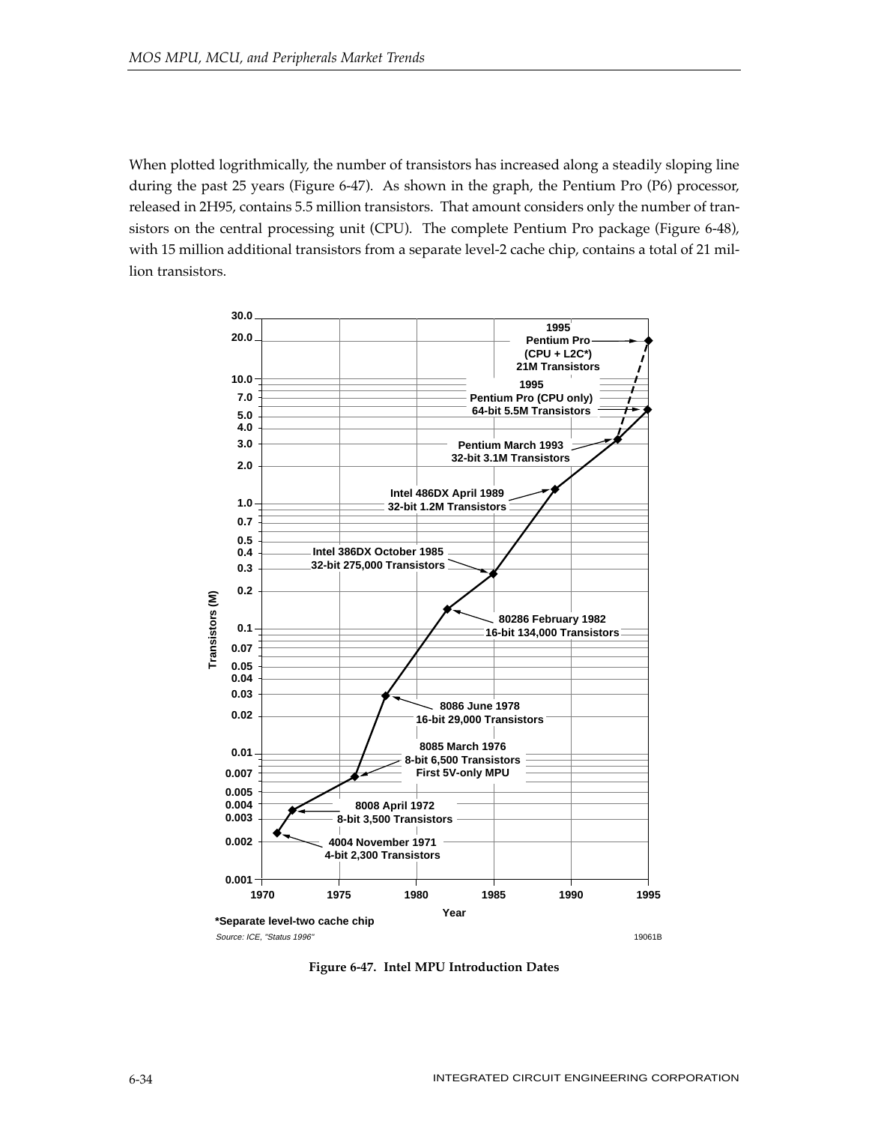When plotted logrithmically, the number of transistors has increased along a steadily sloping line during the past 25 years (Figure 6-47). As shown in the graph, the Pentium Pro (P6) processor, released in 2H95, contains 5.5 million transistors. That amount considers only the number of transistors on the central processing unit (CPU). The complete Pentium Pro package (Figure 6-48), with 15 million additional transistors from a separate level-2 cache chip, contains a total of 21 million transistors.



**Figure 6-47. Intel MPU Introduction Dates**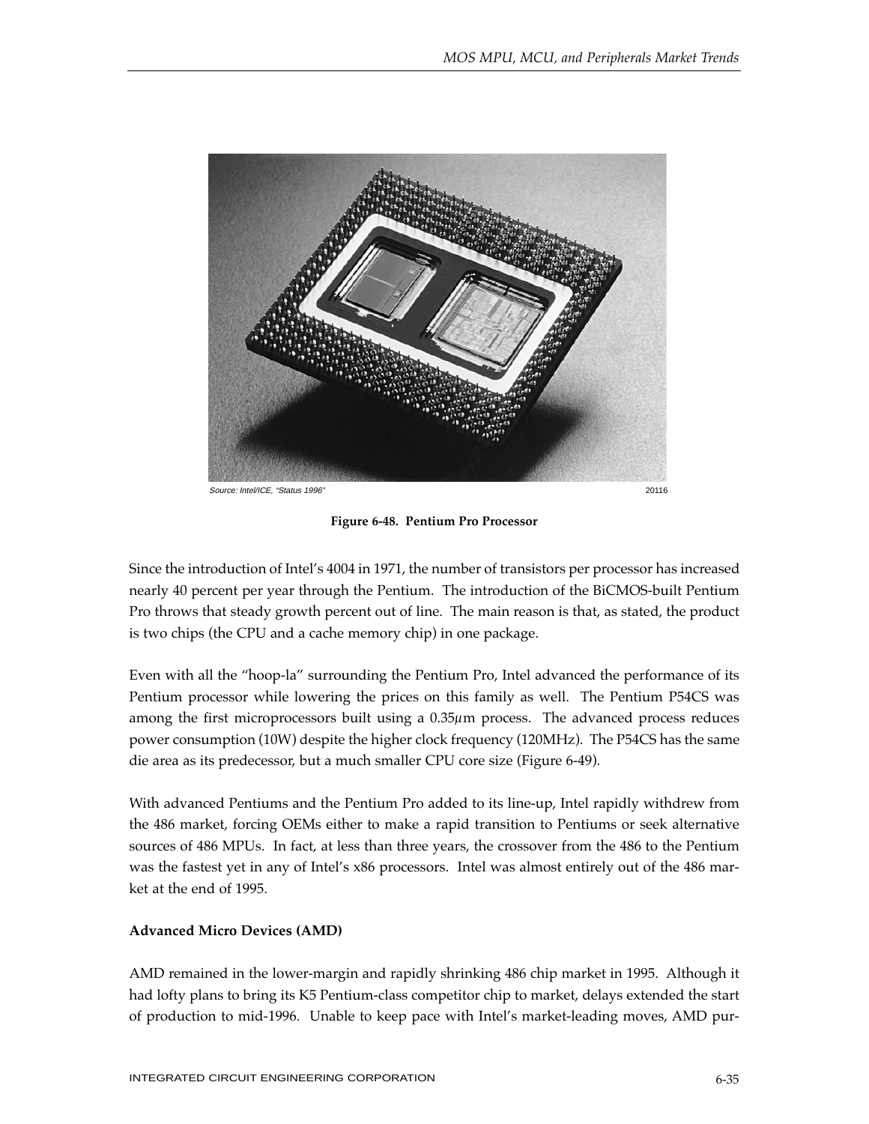

**Figure 6-48. Pentium Pro Processor**

Since the introduction of Intel's 4004 in 1971, the number of transistors per processor has increased nearly 40 percent per year through the Pentium. The introduction of the BiCMOS-built Pentium Pro throws that steady growth percent out of line. The main reason is that, as stated, the product is two chips (the CPU and a cache memory chip) in one package.

Even with all the "hoop-la" surrounding the Pentium Pro, Intel advanced the performance of its Pentium processor while lowering the prices on this family as well. The Pentium P54CS was among the first microprocessors built using a 0.35µm process. The advanced process reduces power consumption (10W) despite the higher clock frequency (120MHz). The P54CS has the same die area as its predecessor, but a much smaller CPU core size (Figure 6-49).

With advanced Pentiums and the Pentium Pro added to its line-up, Intel rapidly withdrew from the 486 market, forcing OEMs either to make a rapid transition to Pentiums or seek alternative sources of 486 MPUs. In fact, at less than three years, the crossover from the 486 to the Pentium was the fastest yet in any of Intel's x86 processors. Intel was almost entirely out of the 486 market at the end of 1995.

# **Advanced Micro Devices (AMD)**

AMD remained in the lower-margin and rapidly shrinking 486 chip market in 1995. Although it had lofty plans to bring its K5 Pentium-class competitor chip to market, delays extended the start of production to mid-1996. Unable to keep pace with Intel's market-leading moves, AMD pur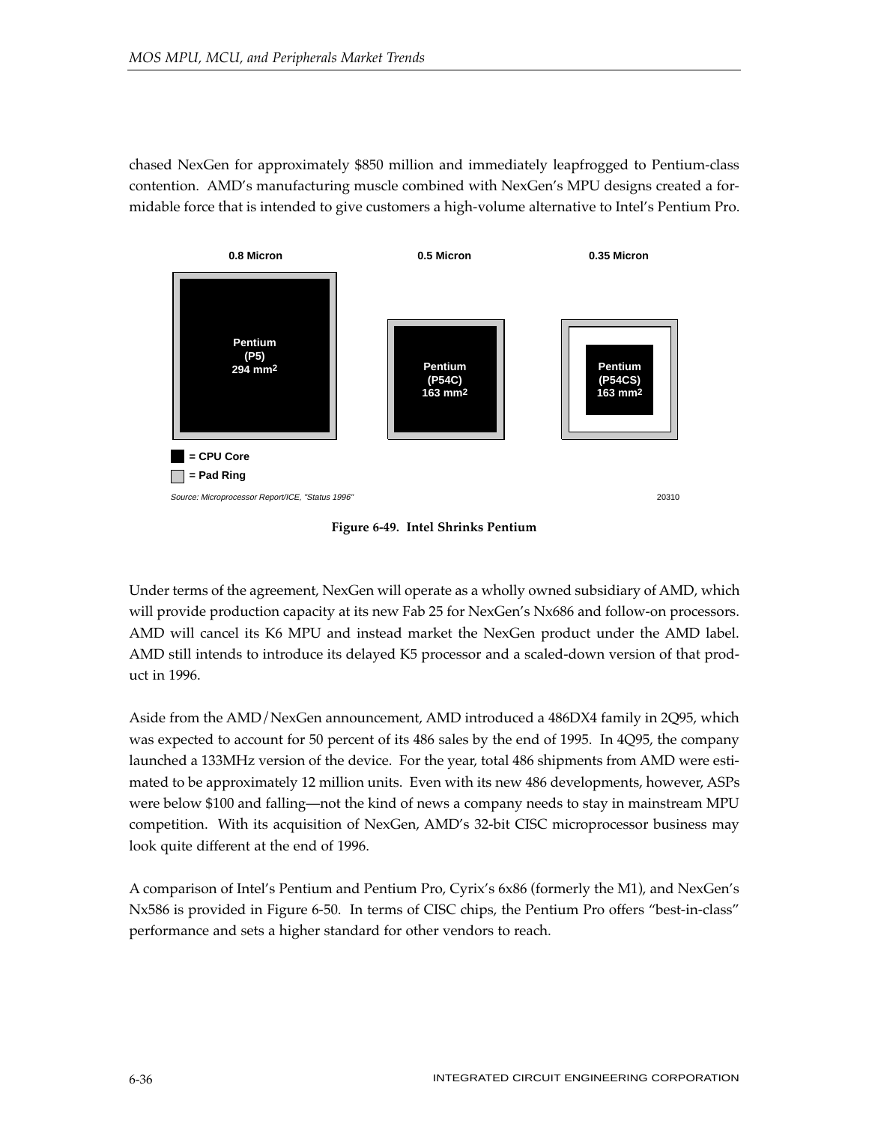chased NexGen for approximately \$850 million and immediately leapfrogged to Pentium-class contention. AMD's manufacturing muscle combined with NexGen's MPU designs created a formidable force that is intended to give customers a high-volume alternative to Intel's Pentium Pro.



**Figure 6-49. Intel Shrinks Pentium**

Under terms of the agreement, NexGen will operate as a wholly owned subsidiary of AMD, which will provide production capacity at its new Fab 25 for NexGen's Nx686 and follow-on processors. AMD will cancel its K6 MPU and instead market the NexGen product under the AMD label. AMD still intends to introduce its delayed K5 processor and a scaled-down version of that product in 1996.

Aside from the AMD/NexGen announcement, AMD introduced a 486DX4 family in 2Q95, which was expected to account for 50 percent of its 486 sales by the end of 1995. In 4Q95, the company launched a 133MHz version of the device. For the year, total 486 shipments from AMD were estimated to be approximately 12 million units. Even with its new 486 developments, however, ASPs were below \$100 and falling—not the kind of news a company needs to stay in mainstream MPU competition. With its acquisition of NexGen, AMD's 32-bit CISC microprocessor business may look quite different at the end of 1996.

A comparison of Intel's Pentium and Pentium Pro, Cyrix's 6x86 (formerly the M1), and NexGen's Nx586 is provided in Figure 6-50. In terms of CISC chips, the Pentium Pro offers "best-in-class" performance and sets a higher standard for other vendors to reach.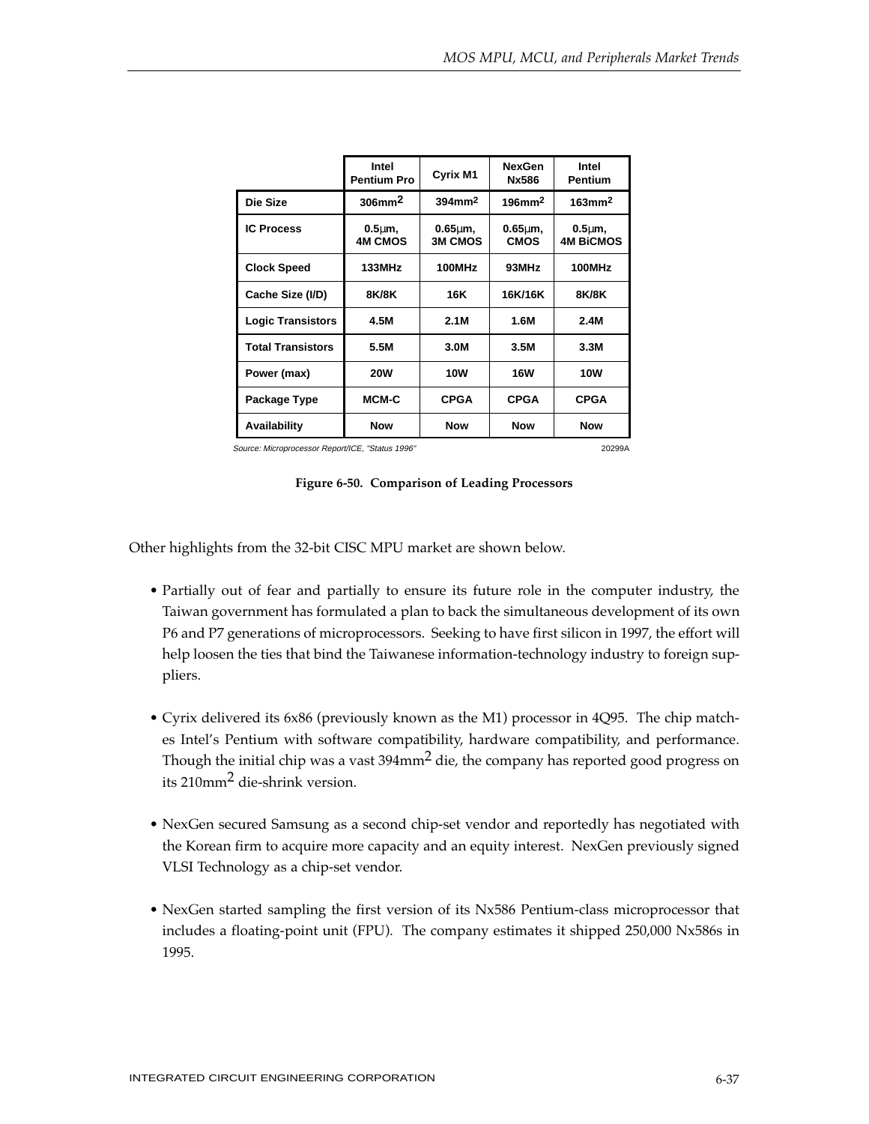|                          | Intel<br><b>Pentium Pro</b>          | Cyrix M1                           | <b>NexGen</b><br>Nx586          | Intel<br><b>Pentium</b>           |
|--------------------------|--------------------------------------|------------------------------------|---------------------------------|-----------------------------------|
| Die Size                 | $306$ mm <sup>2</sup>                | $394$ mm <sup>2</sup>              | $196$ mm <sup>2</sup>           | $163$ mm $2$                      |
| <b>IC Process</b>        | 0.5 <sub>µ</sub> m<br><b>4M CMOS</b> | $0.65 \text{µm}$<br><b>3M CMOS</b> | $0.65 \text{µm}$<br><b>CMOS</b> | $0.5 \mu m$ ,<br><b>4M BiCMOS</b> |
| <b>Clock Speed</b>       | 133MHz                               | 100MHz                             | 93MHz                           | 100MHz                            |
| Cache Size (I/D)         | 8K/8K                                | 16K                                | 16K/16K                         | <b>8K/8K</b>                      |
| <b>Logic Transistors</b> | 4.5M                                 | 2.1M                               | 1.6M                            | 2.4M                              |
| <b>Total Transistors</b> | 5.5M                                 | 3.0M                               | 3.5M                            | 3.3M                              |
| Power (max)              | <b>20W</b>                           | <b>10W</b>                         | <b>16W</b>                      | <b>10W</b>                        |
| Package Type             | MCM-C                                | <b>CPGA</b>                        | <b>CPGA</b>                     | <b>CPGA</b>                       |
| Availability             | <b>Now</b>                           | <b>Now</b>                         | <b>Now</b>                      | <b>Now</b>                        |

Source: Microprocessor Report/ICE, "Status 1996" 20299A

### **Figure 6-50. Comparison of Leading Processors**

Other highlights from the 32-bit CISC MPU market are shown below.

- Partially out of fear and partially to ensure its future role in the computer industry, the Taiwan government has formulated a plan to back the simultaneous development of its own P6 and P7 generations of microprocessors. Seeking to have first silicon in 1997, the effort will help loosen the ties that bind the Taiwanese information-technology industry to foreign suppliers.
- Cyrix delivered its 6x86 (previously known as the M1) processor in 4Q95. The chip matches Intel's Pentium with software compatibility, hardware compatibility, and performance. Though the initial chip was a vast  $394$ mm<sup>2</sup> die, the company has reported good progress on its 210mm2 die-shrink version.
- NexGen secured Samsung as a second chip-set vendor and reportedly has negotiated with the Korean firm to acquire more capacity and an equity interest. NexGen previously signed VLSI Technology as a chip-set vendor.
- NexGen started sampling the first version of its Nx586 Pentium-class microprocessor that includes a floating-point unit (FPU). The company estimates it shipped 250,000 Nx586s in 1995.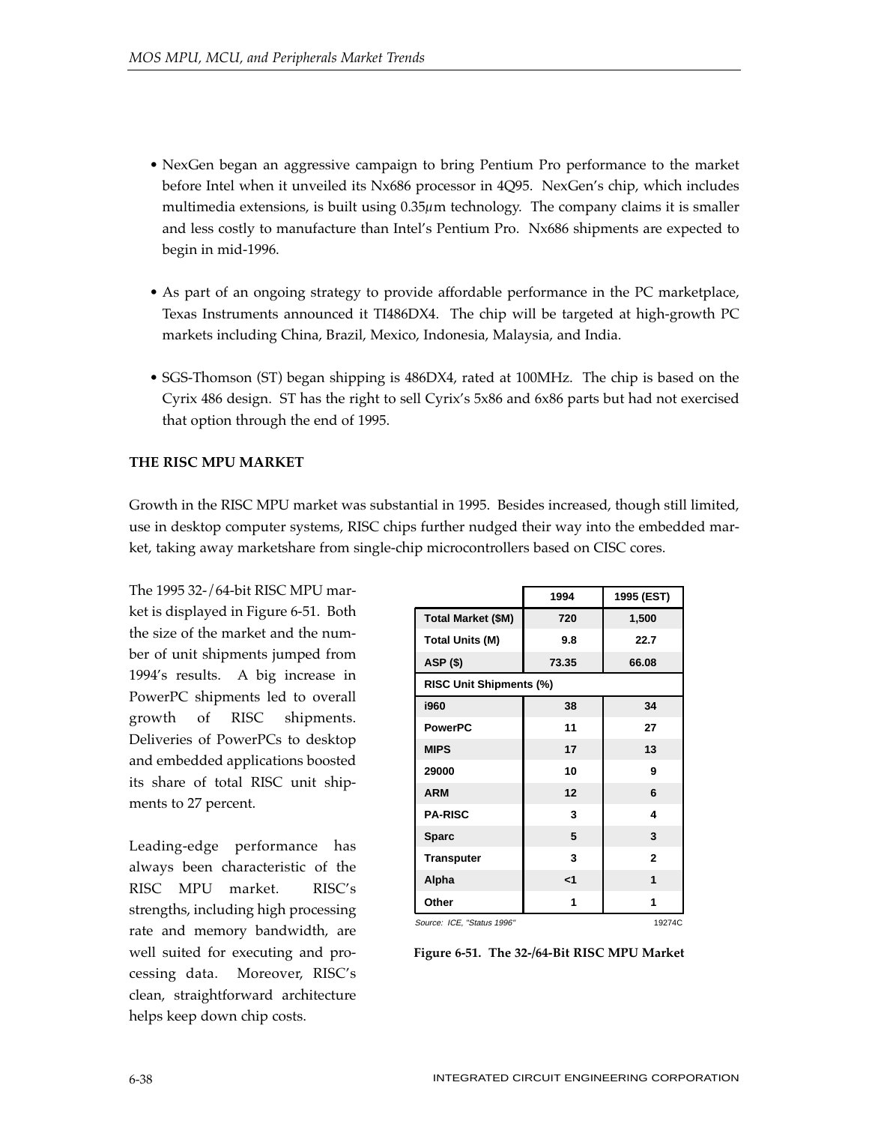- NexGen began an aggressive campaign to bring Pentium Pro performance to the market before Intel when it unveiled its Nx686 processor in 4Q95. NexGen's chip, which includes multimedia extensions, is built using 0.35 $\mu$ m technology. The company claims it is smaller and less costly to manufacture than Intel's Pentium Pro. Nx686 shipments are expected to begin in mid-1996.
- As part of an ongoing strategy to provide affordable performance in the PC marketplace, Texas Instruments announced it TI486DX4. The chip will be targeted at high-growth PC markets including China, Brazil, Mexico, Indonesia, Malaysia, and India.
- SGS-Thomson (ST) began shipping is 486DX4, rated at 100MHz. The chip is based on the Cyrix 486 design. ST has the right to sell Cyrix's 5x86 and 6x86 parts but had not exercised that option through the end of 1995.

# **THE RISC MPU MARKET**

Growth in the RISC MPU market was substantial in 1995. Besides increased, though still limited, use in desktop computer systems, RISC chips further nudged their way into the embedded market, taking away marketshare from single-chip microcontrollers based on CISC cores.

The 1995 32-/64-bit RISC MPU market is displayed in Figure 6-51. Both the size of the market and the number of unit shipments jumped from 1994's results. A big increase in PowerPC shipments led to overall growth of RISC shipments. Deliveries of PowerPCs to desktop and embedded applications boosted its share of total RISC unit shipments to 27 percent.

Leading-edge performance has always been characteristic of the RISC MPU market. RISC's strengths, including high processing rate and memory bandwidth, are well suited for executing and processing data. Moreover, RISC's clean, straightforward architecture helps keep down chip costs.

|                                      | 1994     | 1995 (EST)   |  |  |
|--------------------------------------|----------|--------------|--|--|
| <b>Total Market (\$M)</b>            | 720      | 1,500        |  |  |
| <b>Total Units (M)</b>               | 9.8      | 22.7         |  |  |
| <b>ASP (\$)</b>                      | 73.35    | 66.08        |  |  |
| <b>RISC Unit Shipments (%)</b>       |          |              |  |  |
| i960                                 | 38       | 34           |  |  |
| <b>PowerPC</b>                       | 11       | 27           |  |  |
| <b>MIPS</b>                          | 17       | 13           |  |  |
| 29000                                | 10       | 9            |  |  |
| <b>ARM</b>                           | 12       | 6            |  |  |
| <b>PA-RISC</b>                       | 3        | 4            |  |  |
| <b>Sparc</b>                         | 5        | 3            |  |  |
| <b>Transputer</b>                    | 3        | $\mathbf{2}$ |  |  |
| Alpha                                | $\leq$ 1 | 1            |  |  |
| Other                                | 1        | 1            |  |  |
| Source: ICE, "Status 1996"<br>19274C |          |              |  |  |

**Figure 6-51. The 32-/64-Bit RISC MPU Market**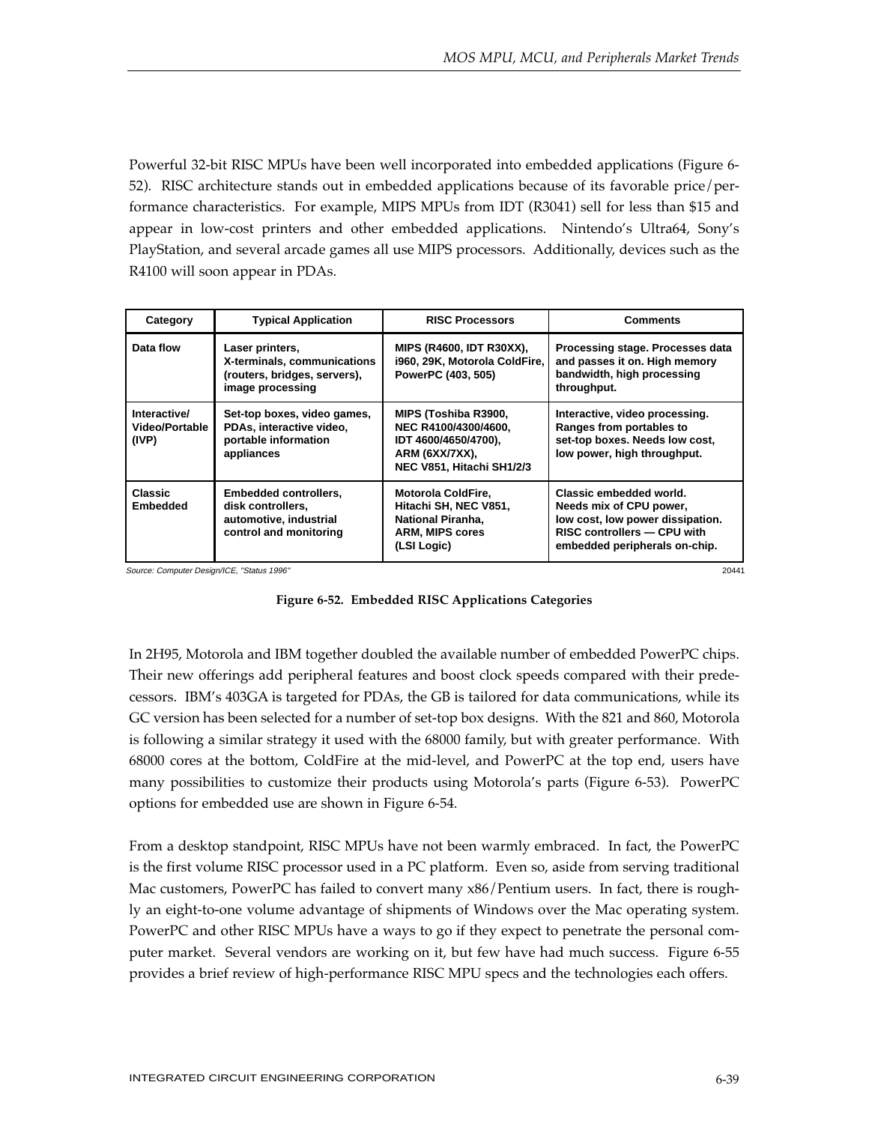Powerful 32-bit RISC MPUs have been well incorporated into embedded applications (Figure 6- 52). RISC architecture stands out in embedded applications because of its favorable price/performance characteristics. For example, MIPS MPUs from IDT (R3041) sell for less than \$15 and appear in low-cost printers and other embedded applications. Nintendo's Ultra64, Sony's PlayStation, and several arcade games all use MIPS processors. Additionally, devices such as the R4100 will soon appear in PDAs.

| Category                                | <b>Typical Application</b>                                                                         | <b>RISC Processors</b>                                                                                                  | <b>Comments</b>                                                                                                                                        |
|-----------------------------------------|----------------------------------------------------------------------------------------------------|-------------------------------------------------------------------------------------------------------------------------|--------------------------------------------------------------------------------------------------------------------------------------------------------|
| Data flow                               | Laser printers,<br>X-terminals, communications<br>(routers, bridges, servers),<br>image processing | <b>MIPS (R4600, IDT R30XX),</b><br>i960, 29K, Motorola ColdFire,<br>PowerPC (403, 505)                                  | Processing stage. Processes data<br>and passes it on. High memory<br>bandwidth, high processing<br>throughput.                                         |
| Interactive/<br>Video/Portable<br>(IVP) | Set-top boxes, video games,<br>PDAs, interactive video,<br>portable information<br>appliances      | MIPS (Toshiba R3900,<br>NEC R4100/4300/4600,<br>IDT 4600/4650/4700),<br>ARM (6XX/7XX),<br>NEC V851, Hitachi SH1/2/3     | Interactive, video processing.<br>Ranges from portables to<br>set-top boxes. Needs low cost,<br>low power, high throughput.                            |
| <b>Classic</b><br><b>Embedded</b>       | Embedded controllers,<br>disk controllers.<br>automotive, industrial<br>control and monitoring     | <b>Motorola ColdFire,</b><br>Hitachi SH, NEC V851,<br><b>National Piranha,</b><br><b>ARM, MIPS cores</b><br>(LSI Logic) | Classic embedded world.<br>Needs mix of CPU power,<br>low cost, low power dissipation.<br>RISC controllers - CPU with<br>embedded peripherals on-chip. |

Source: Computer Design/ICE, "Status 1996" 20441



In 2H95, Motorola and IBM together doubled the available number of embedded PowerPC chips. Their new offerings add peripheral features and boost clock speeds compared with their predecessors. IBM's 403GA is targeted for PDAs, the GB is tailored for data communications, while its GC version has been selected for a number of set-top box designs. With the 821 and 860, Motorola is following a similar strategy it used with the 68000 family, but with greater performance. With 68000 cores at the bottom, ColdFire at the mid-level, and PowerPC at the top end, users have many possibilities to customize their products using Motorola's parts (Figure 6-53). PowerPC options for embedded use are shown in Figure 6-54.

From a desktop standpoint, RISC MPUs have not been warmly embraced. In fact, the PowerPC is the first volume RISC processor used in a PC platform. Even so, aside from serving traditional Mac customers, PowerPC has failed to convert many x86/Pentium users. In fact, there is roughly an eight-to-one volume advantage of shipments of Windows over the Mac operating system. PowerPC and other RISC MPUs have a ways to go if they expect to penetrate the personal computer market. Several vendors are working on it, but few have had much success. Figure 6-55 provides a brief review of high-performance RISC MPU specs and the technologies each offers.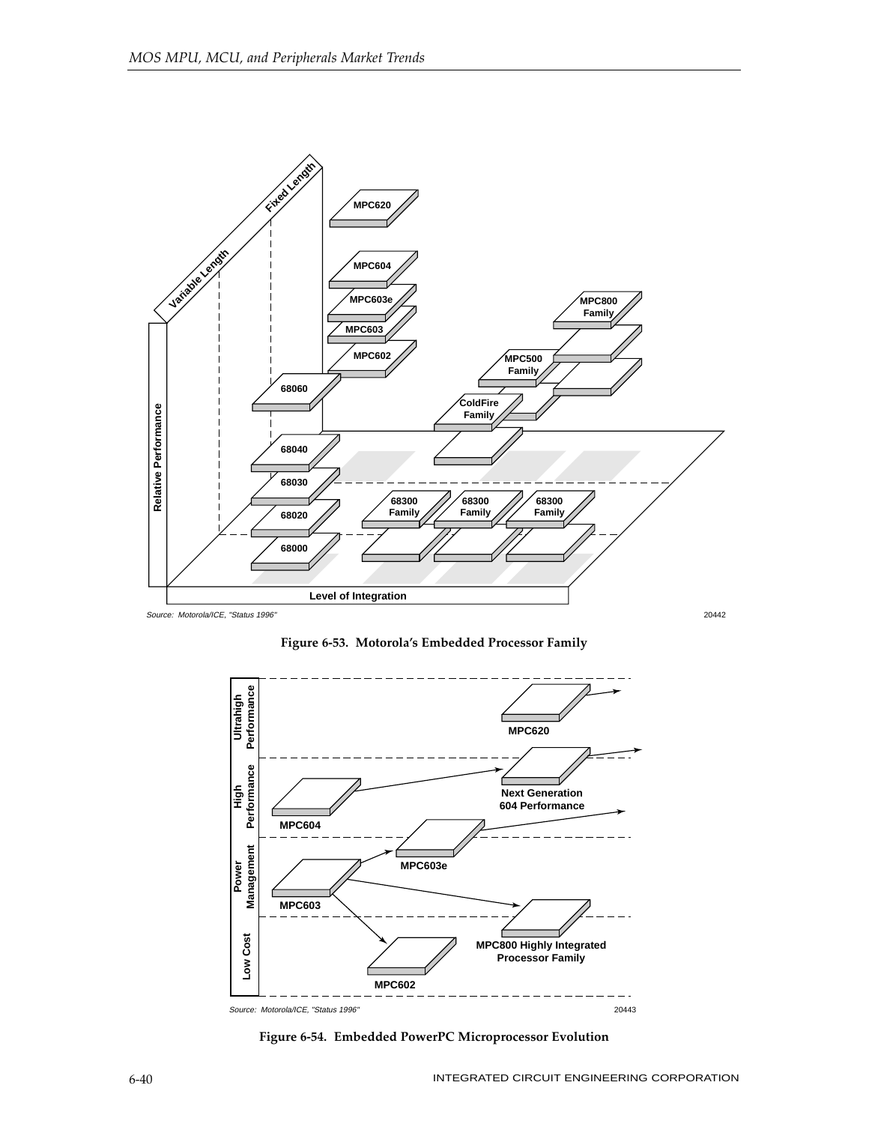

**Figure 6-53. Motorola's Embedded Processor Family**



**Figure 6-54. Embedded PowerPC Microprocessor Evolution**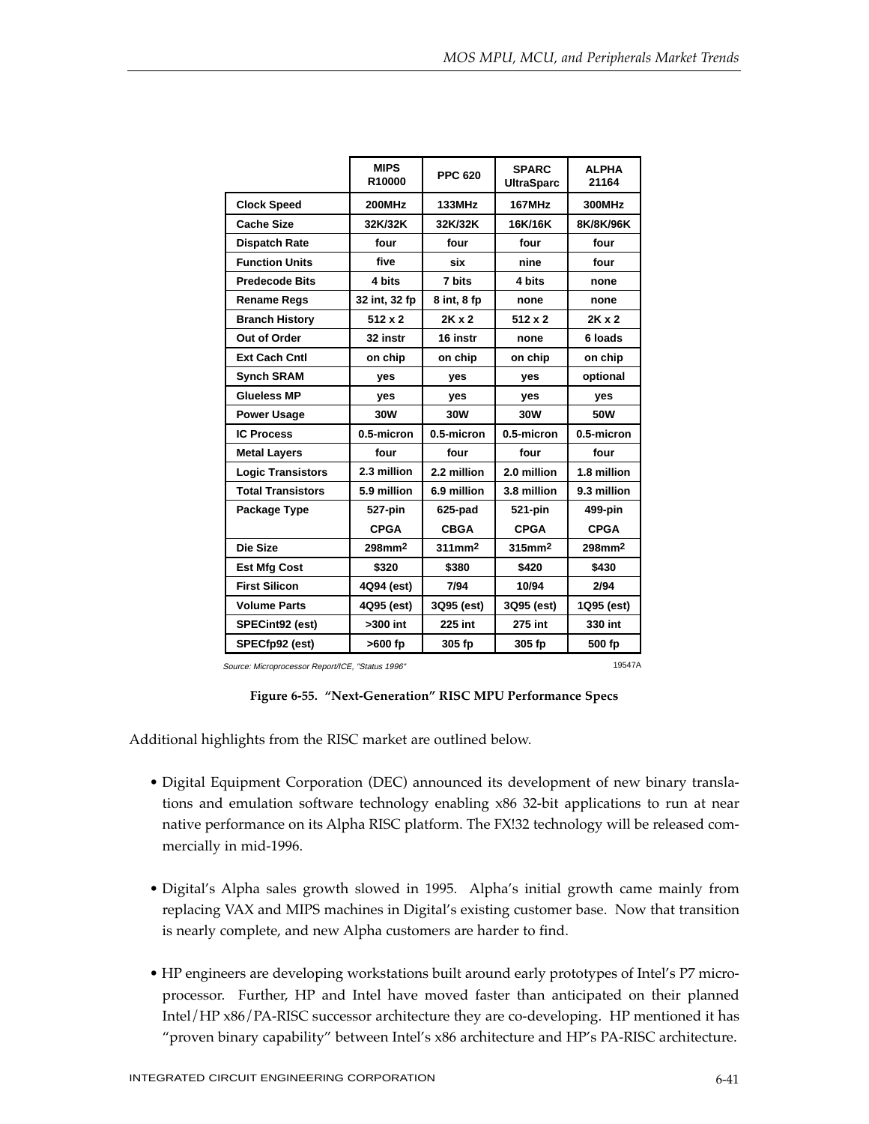|                          | <b>MIPS</b><br>R10000 | <b>PPC 620</b> | <b>SPARC</b><br><b>UltraSparc</b> | <b>ALPHA</b><br>21164 |
|--------------------------|-----------------------|----------------|-----------------------------------|-----------------------|
| <b>Clock Speed</b>       | <b>200MHz</b>         | <b>133MHz</b>  | <b>167MHz</b>                     | 300MHz                |
| <b>Cache Size</b>        | 32K/32K               | 32K/32K        | 16K/16K                           | 8K/8K/96K             |
| <b>Dispatch Rate</b>     | four                  | four           | four                              | four                  |
| <b>Function Units</b>    | five                  | six            | nine                              | four                  |
| <b>Predecode Bits</b>    | 4 bits                | 7 bits         | 4 bits                            | none                  |
| <b>Rename Regs</b>       | 32 int, 32 fp         | 8 int, 8 fp    | none                              | none                  |
| <b>Branch History</b>    | $512 \times 2$        | $2K \times 2$  | $512 \times 2$                    | $2K \times 2$         |
| Out of Order             | 32 instr              | 16 instr       | none                              | 6 loads               |
| <b>Ext Cach Cntl</b>     | on chip               | on chip        | on chip                           | on chip               |
| <b>Synch SRAM</b>        | yes                   | <b>ves</b>     | <b>ves</b>                        | optional              |
| Glueless MP              | yes                   | yes            | yes                               | yes                   |
| <b>Power Usage</b>       | 30W                   | 30W            | 30W                               | 50W                   |
| <b>IC Process</b>        | 0.5-micron            | 0.5-micron     | 0.5-micron                        | 0.5-micron            |
| <b>Metal Layers</b>      | four                  | four           | four                              | four                  |
| <b>Logic Transistors</b> | 2.3 million           | 2.2 million    | 2.0 million                       | 1.8 million           |
| <b>Total Transistors</b> | 5.9 million           | 6.9 million    | 3.8 million                       | 9.3 million           |
| Package Type             | 527-pin               | 625-pad        | 521-pin                           | 499-pin               |
|                          | <b>CPGA</b>           | <b>CBGA</b>    | <b>CPGA</b>                       | <b>CPGA</b>           |
| Die Size                 | 298mm <sup>2</sup>    | $311$ mm $2$   | 315mm <sup>2</sup>                | 298mm <sup>2</sup>    |
| <b>Est Mfg Cost</b>      | \$320                 | \$380          | \$420                             | \$430                 |
| <b>First Silicon</b>     | 4Q94 (est)            | 7/94           | 10/94                             | 2/94                  |
| <b>Volume Parts</b>      | 4Q95 (est)            | 3Q95 (est)     | 3Q95 (est)                        | 1Q95 (est)            |
| SPECint92 (est)          | $>300$ int            | 225 int        | 275 int                           | 330 int               |
| SPECfp92 (est)           | >600 fp               | 305 fp         | 305 fp                            | 500 fp                |

Source: Microprocessor Report/ICE, "Status 1996" 19547A

**Figure 6-55. "Next-Generation" RISC MPU Performance Specs**

Additional highlights from the RISC market are outlined below.

- Digital Equipment Corporation (DEC) announced its development of new binary translations and emulation software technology enabling x86 32-bit applications to run at near native performance on its Alpha RISC platform. The FX!32 technology will be released commercially in mid-1996.
- Digital's Alpha sales growth slowed in 1995. Alpha's initial growth came mainly from replacing VAX and MIPS machines in Digital's existing customer base. Now that transition is nearly complete, and new Alpha customers are harder to find.
- HP engineers are developing workstations built around early prototypes of Intel's P7 microprocessor. Further, HP and Intel have moved faster than anticipated on their planned Intel/HP x86/PA-RISC successor architecture they are co-developing. HP mentioned it has "proven binary capability" between Intel's x86 architecture and HP's PA-RISC architecture.